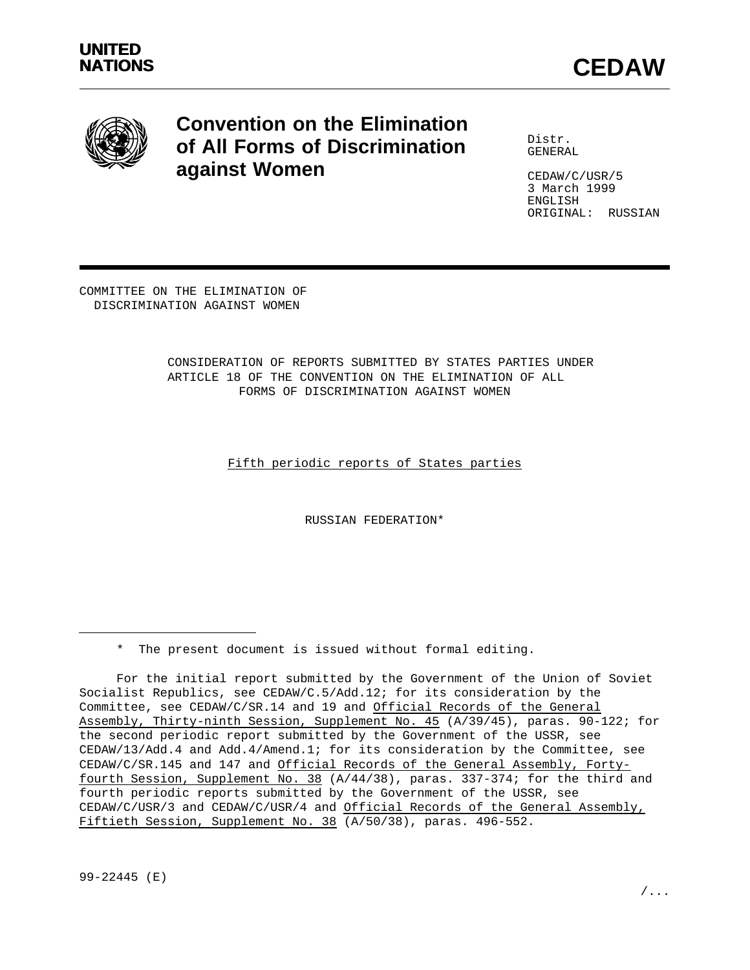

# **Convention on the Elimination of All Forms of Discrimination against Women**

Distr. GENERAL

CEDAW/C/USR/5 3 March 1999 ENGLISH ORIGINAL: RUSSIAN

COMMITTEE ON THE ELIMINATION OF DISCRIMINATION AGAINST WOMEN

## CONSIDERATION OF REPORTS SUBMITTED BY STATES PARTIES UNDER ARTICLE 18 OF THE CONVENTION ON THE ELIMINATION OF ALL FORMS OF DISCRIMINATION AGAINST WOMEN

Fifth periodic reports of States parties

RUSSIAN FEDERATION\*

\* The present document is issued without formal editing.

For the initial report submitted by the Government of the Union of Soviet Socialist Republics, see CEDAW/C.5/Add.12; for its consideration by the Committee, see CEDAW/C/SR.14 and 19 and Official Records of the General Assembly, Thirty-ninth Session, Supplement No. 45 (A/39/45), paras. 90-122; for the second periodic report submitted by the Government of the USSR, see CEDAW/13/Add.4 and Add.4/Amend.1; for its consideration by the Committee, see CEDAW/C/SR.145 and 147 and Official Records of the General Assembly, Fortyfourth Session, Supplement No. 38 (A/44/38), paras. 337-374; for the third and fourth periodic reports submitted by the Government of the USSR, see CEDAW/C/USR/3 and CEDAW/C/USR/4 and Official Records of the General Assembly, Fiftieth Session, Supplement No. 38 (A/50/38), paras. 496-552.

99-22445 (E)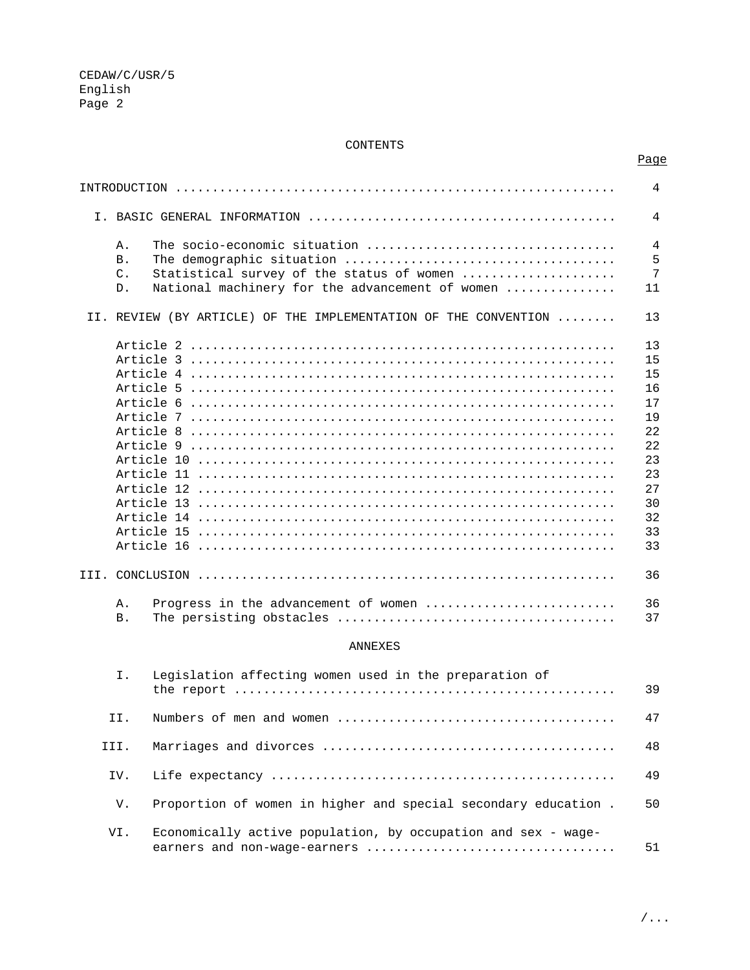## CONTENTS

|                                           |                                                                                                                                                            | 4                                                                                                        |
|-------------------------------------------|------------------------------------------------------------------------------------------------------------------------------------------------------------|----------------------------------------------------------------------------------------------------------|
|                                           |                                                                                                                                                            | 4                                                                                                        |
| Α.<br><b>B</b> .<br>$\mathcal{C}$ .<br>D. | Statistical survey of the status of women<br>National machinery for the advancement of women                                                               | 4<br>5<br>7<br>11                                                                                        |
|                                           | II. REVIEW (BY ARTICLE) OF THE IMPLEMENTATION OF THE CONVENTION                                                                                            | 13                                                                                                       |
| Α.<br>Β.                                  | Article 2<br>Article 3<br>Article 4<br>Article 5<br>Article 6<br>Article 7<br>Article 8<br>Article 9<br>Article 10<br>Progress in the advancement of women | 13<br>15<br>15<br>16<br>17<br>19<br>22<br>22<br>23<br>23<br>27<br>30<br>32<br>33<br>33<br>36<br>36<br>37 |
|                                           |                                                                                                                                                            |                                                                                                          |
|                                           | ANNEXES                                                                                                                                                    |                                                                                                          |
| Ι.                                        | Legislation affecting women used in the preparation of                                                                                                     | 39                                                                                                       |
| II.                                       |                                                                                                                                                            | 47                                                                                                       |
| III.                                      |                                                                                                                                                            | 48                                                                                                       |
| IV.                                       |                                                                                                                                                            | 49                                                                                                       |
| V.                                        | Proportion of women in higher and special secondary education.                                                                                             | 50                                                                                                       |
| VI.                                       | Economically active population, by occupation and sex - wage-                                                                                              | 51                                                                                                       |

Page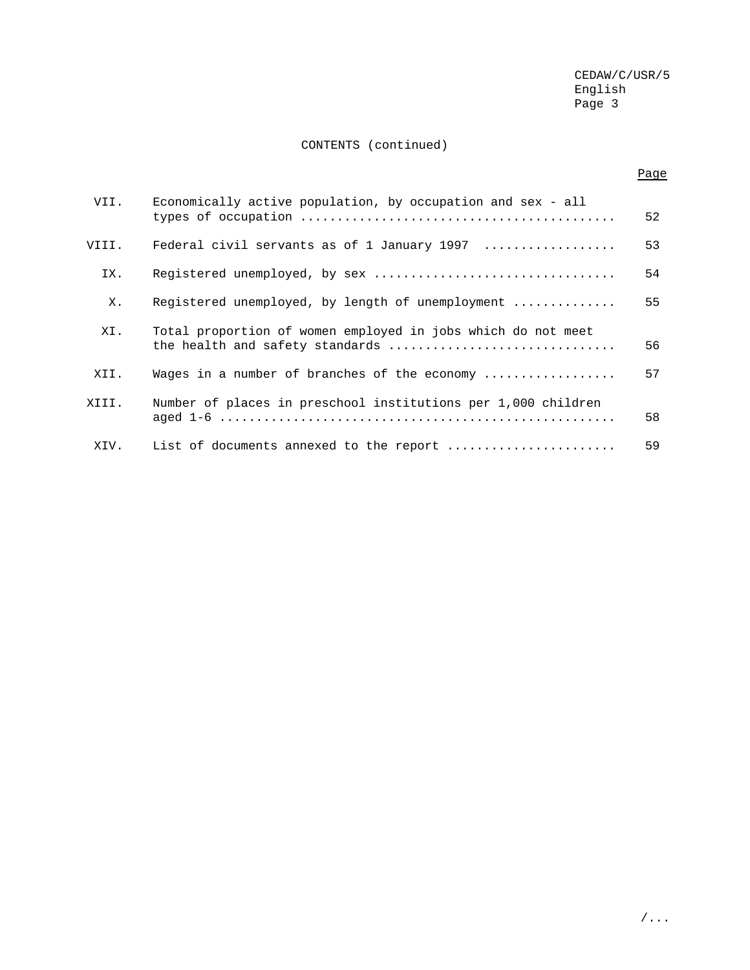## CONTENTS (continued)

## Page

| VII.  | Economically active population, by occupation and sex - all                                     | 52 |
|-------|-------------------------------------------------------------------------------------------------|----|
| VIII. | Federal civil servants as of 1 January 1997                                                     | 53 |
| IX.   |                                                                                                 | 54 |
| Х.    | Registered unemployed, by length of unemployment                                                | 55 |
| XI.   | Total proportion of women employed in jobs which do not meet<br>the health and safety standards | 56 |
| XII.  | Wages in a number of branches of the economy $\ldots$                                           | 57 |
| XIII. | Number of places in preschool institutions per 1,000 children                                   | 58 |
| XIV.  | List of documents annexed to the report                                                         | 59 |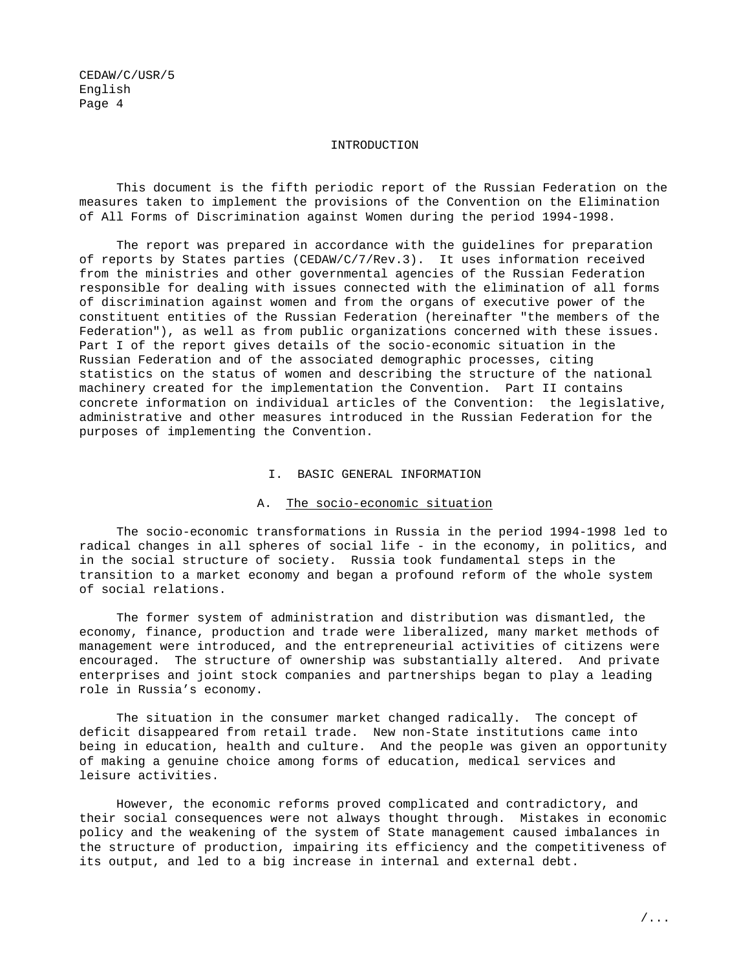#### INTRODUCTION

This document is the fifth periodic report of the Russian Federation on the measures taken to implement the provisions of the Convention on the Elimination of All Forms of Discrimination against Women during the period 1994-1998.

The report was prepared in accordance with the guidelines for preparation of reports by States parties (CEDAW/C/7/Rev.3). It uses information received from the ministries and other governmental agencies of the Russian Federation responsible for dealing with issues connected with the elimination of all forms of discrimination against women and from the organs of executive power of the constituent entities of the Russian Federation (hereinafter "the members of the Federation"), as well as from public organizations concerned with these issues. Part I of the report gives details of the socio-economic situation in the Russian Federation and of the associated demographic processes, citing statistics on the status of women and describing the structure of the national machinery created for the implementation the Convention. Part II contains concrete information on individual articles of the Convention: the legislative, administrative and other measures introduced in the Russian Federation for the purposes of implementing the Convention.

#### I. BASIC GENERAL INFORMATION

## A. The socio-economic situation

The socio-economic transformations in Russia in the period 1994-1998 led to radical changes in all spheres of social life - in the economy, in politics, and in the social structure of society. Russia took fundamental steps in the transition to a market economy and began a profound reform of the whole system of social relations.

The former system of administration and distribution was dismantled, the economy, finance, production and trade were liberalized, many market methods of management were introduced, and the entrepreneurial activities of citizens were encouraged. The structure of ownership was substantially altered. And private enterprises and joint stock companies and partnerships began to play a leading role in Russia's economy.

The situation in the consumer market changed radically. The concept of deficit disappeared from retail trade. New non-State institutions came into being in education, health and culture. And the people was given an opportunity of making a genuine choice among forms of education, medical services and leisure activities.

However, the economic reforms proved complicated and contradictory, and their social consequences were not always thought through. Mistakes in economic policy and the weakening of the system of State management caused imbalances in the structure of production, impairing its efficiency and the competitiveness of its output, and led to a big increase in internal and external debt.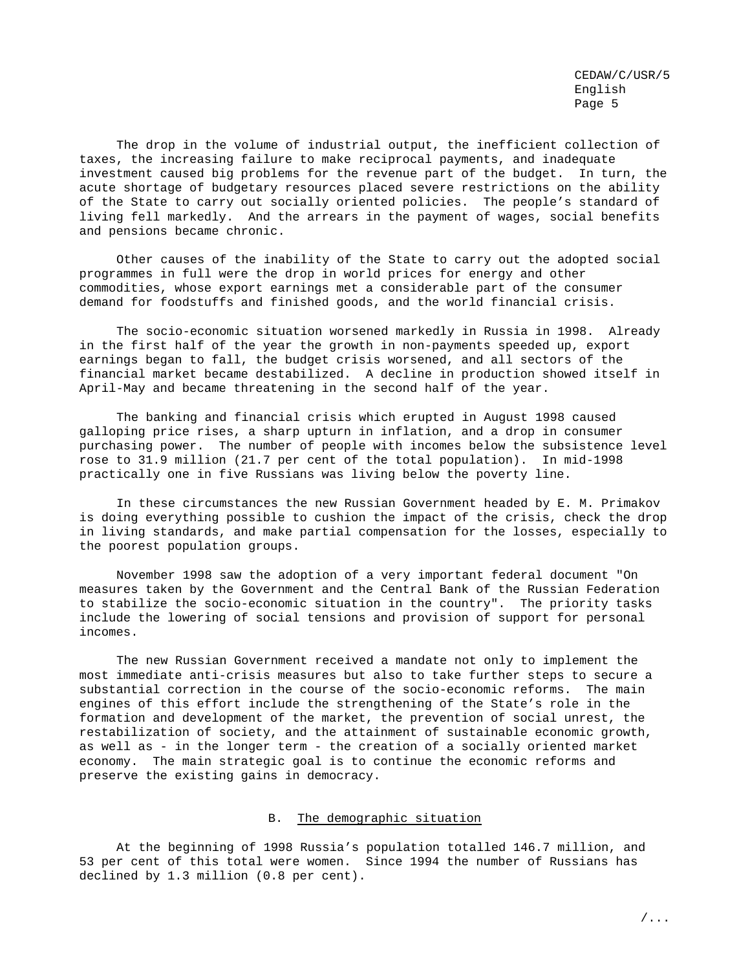The drop in the volume of industrial output, the inefficient collection of taxes, the increasing failure to make reciprocal payments, and inadequate investment caused big problems for the revenue part of the budget. In turn, the acute shortage of budgetary resources placed severe restrictions on the ability of the State to carry out socially oriented policies. The people's standard of living fell markedly. And the arrears in the payment of wages, social benefits and pensions became chronic.

Other causes of the inability of the State to carry out the adopted social programmes in full were the drop in world prices for energy and other commodities, whose export earnings met a considerable part of the consumer demand for foodstuffs and finished goods, and the world financial crisis.

The socio-economic situation worsened markedly in Russia in 1998. Already in the first half of the year the growth in non-payments speeded up, export earnings began to fall, the budget crisis worsened, and all sectors of the financial market became destabilized. A decline in production showed itself in April-May and became threatening in the second half of the year.

The banking and financial crisis which erupted in August 1998 caused galloping price rises, a sharp upturn in inflation, and a drop in consumer purchasing power. The number of people with incomes below the subsistence level rose to 31.9 million (21.7 per cent of the total population). In mid-1998 practically one in five Russians was living below the poverty line.

In these circumstances the new Russian Government headed by E. M. Primakov is doing everything possible to cushion the impact of the crisis, check the drop in living standards, and make partial compensation for the losses, especially to the poorest population groups.

November 1998 saw the adoption of a very important federal document "On measures taken by the Government and the Central Bank of the Russian Federation to stabilize the socio-economic situation in the country". The priority tasks include the lowering of social tensions and provision of support for personal incomes.

The new Russian Government received a mandate not only to implement the most immediate anti-crisis measures but also to take further steps to secure a substantial correction in the course of the socio-economic reforms. The main engines of this effort include the strengthening of the State's role in the formation and development of the market, the prevention of social unrest, the restabilization of society, and the attainment of sustainable economic growth, as well as - in the longer term - the creation of a socially oriented market economy. The main strategic goal is to continue the economic reforms and preserve the existing gains in democracy.

## B. The demographic situation

At the beginning of 1998 Russia's population totalled 146.7 million, and 53 per cent of this total were women. Since 1994 the number of Russians has declined by 1.3 million (0.8 per cent).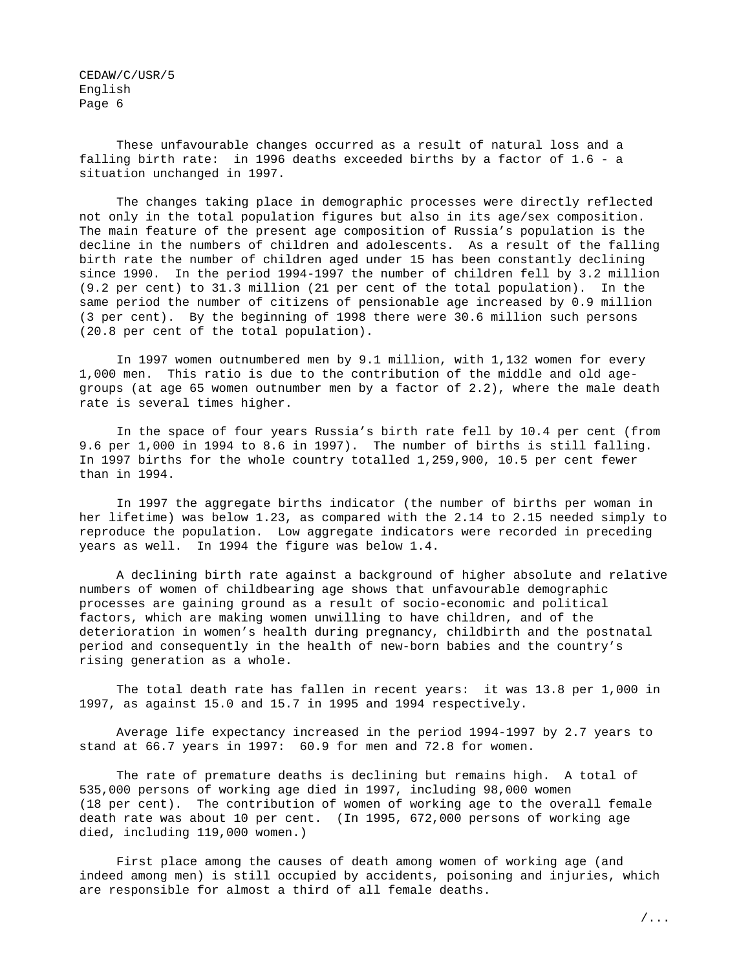These unfavourable changes occurred as a result of natural loss and a falling birth rate: in 1996 deaths exceeded births by a factor of 1.6 - a situation unchanged in 1997.

The changes taking place in demographic processes were directly reflected not only in the total population figures but also in its age/sex composition. The main feature of the present age composition of Russia's population is the decline in the numbers of children and adolescents. As a result of the falling birth rate the number of children aged under 15 has been constantly declining since 1990. In the period 1994-1997 the number of children fell by 3.2 million (9.2 per cent) to 31.3 million (21 per cent of the total population). In the same period the number of citizens of pensionable age increased by 0.9 million (3 per cent). By the beginning of 1998 there were 30.6 million such persons (20.8 per cent of the total population).

In 1997 women outnumbered men by 9.1 million, with 1,132 women for every 1,000 men. This ratio is due to the contribution of the middle and old agegroups (at age 65 women outnumber men by a factor of 2.2), where the male death rate is several times higher.

In the space of four years Russia's birth rate fell by 10.4 per cent (from 9.6 per 1,000 in 1994 to 8.6 in 1997). The number of births is still falling. In 1997 births for the whole country totalled 1,259,900, 10.5 per cent fewer than in 1994.

In 1997 the aggregate births indicator (the number of births per woman in her lifetime) was below 1.23, as compared with the 2.14 to 2.15 needed simply to reproduce the population. Low aggregate indicators were recorded in preceding years as well. In 1994 the figure was below 1.4.

A declining birth rate against a background of higher absolute and relative numbers of women of childbearing age shows that unfavourable demographic processes are gaining ground as a result of socio-economic and political factors, which are making women unwilling to have children, and of the deterioration in women's health during pregnancy, childbirth and the postnatal period and consequently in the health of new-born babies and the country's rising generation as a whole.

The total death rate has fallen in recent years: it was 13.8 per 1,000 in 1997, as against 15.0 and 15.7 in 1995 and 1994 respectively.

Average life expectancy increased in the period 1994-1997 by 2.7 years to stand at 66.7 years in 1997: 60.9 for men and 72.8 for women.

The rate of premature deaths is declining but remains high. A total of 535,000 persons of working age died in 1997, including 98,000 women (18 per cent). The contribution of women of working age to the overall female death rate was about 10 per cent. (In 1995, 672,000 persons of working age died, including 119,000 women.)

First place among the causes of death among women of working age (and indeed among men) is still occupied by accidents, poisoning and injuries, which are responsible for almost a third of all female deaths.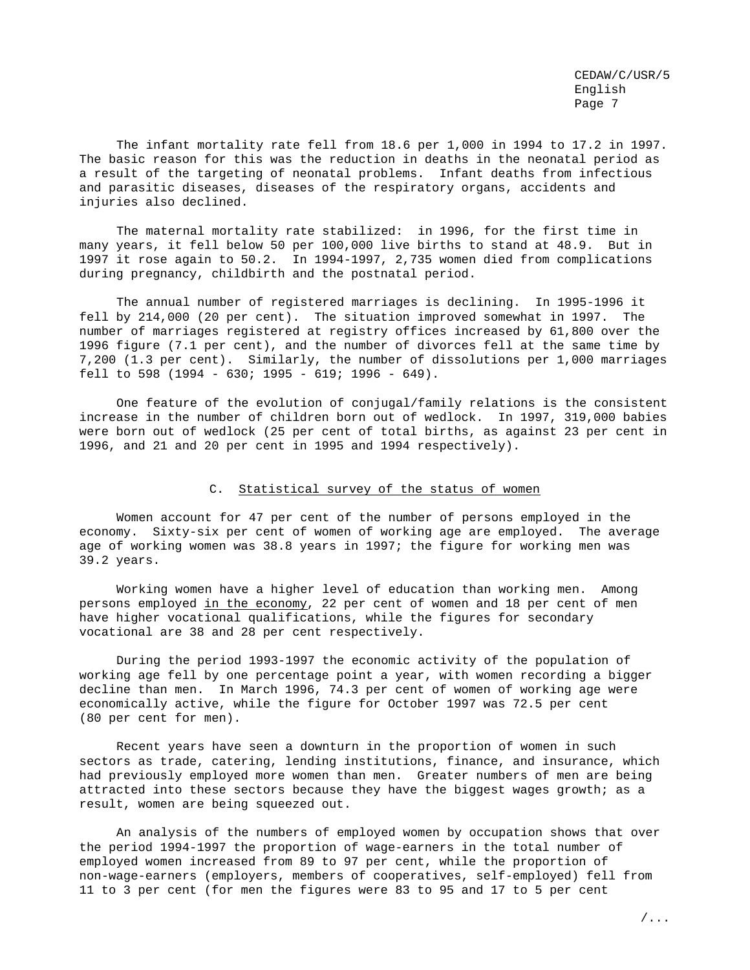The infant mortality rate fell from 18.6 per 1,000 in 1994 to 17.2 in 1997. The basic reason for this was the reduction in deaths in the neonatal period as a result of the targeting of neonatal problems. Infant deaths from infectious and parasitic diseases, diseases of the respiratory organs, accidents and injuries also declined.

The maternal mortality rate stabilized: in 1996, for the first time in many years, it fell below 50 per 100,000 live births to stand at 48.9. But in 1997 it rose again to 50.2. In 1994-1997, 2,735 women died from complications during pregnancy, childbirth and the postnatal period.

The annual number of registered marriages is declining. In 1995-1996 it fell by 214,000 (20 per cent). The situation improved somewhat in 1997. The number of marriages registered at registry offices increased by 61,800 over the 1996 figure (7.1 per cent), and the number of divorces fell at the same time by 7,200 (1.3 per cent). Similarly, the number of dissolutions per 1,000 marriages fell to 598 (1994 - 630; 1995 - 619; 1996 - 649).

One feature of the evolution of conjugal/family relations is the consistent increase in the number of children born out of wedlock. In 1997, 319,000 babies were born out of wedlock (25 per cent of total births, as against 23 per cent in 1996, and 21 and 20 per cent in 1995 and 1994 respectively).

## C. Statistical survey of the status of women

Women account for 47 per cent of the number of persons employed in the economy. Sixty-six per cent of women of working age are employed. The average age of working women was 38.8 years in 1997; the figure for working men was 39.2 years.

Working women have a higher level of education than working men. Among persons employed in the economy, 22 per cent of women and 18 per cent of men have higher vocational qualifications, while the figures for secondary vocational are 38 and 28 per cent respectively.

During the period 1993-1997 the economic activity of the population of working age fell by one percentage point a year, with women recording a bigger decline than men. In March 1996, 74.3 per cent of women of working age were economically active, while the figure for October 1997 was 72.5 per cent (80 per cent for men).

Recent years have seen a downturn in the proportion of women in such sectors as trade, catering, lending institutions, finance, and insurance, which had previously employed more women than men. Greater numbers of men are being attracted into these sectors because they have the biggest wages growth; as a result, women are being squeezed out.

An analysis of the numbers of employed women by occupation shows that over the period 1994-1997 the proportion of wage-earners in the total number of employed women increased from 89 to 97 per cent, while the proportion of non-wage-earners (employers, members of cooperatives, self-employed) fell from 11 to 3 per cent (for men the figures were 83 to 95 and 17 to 5 per cent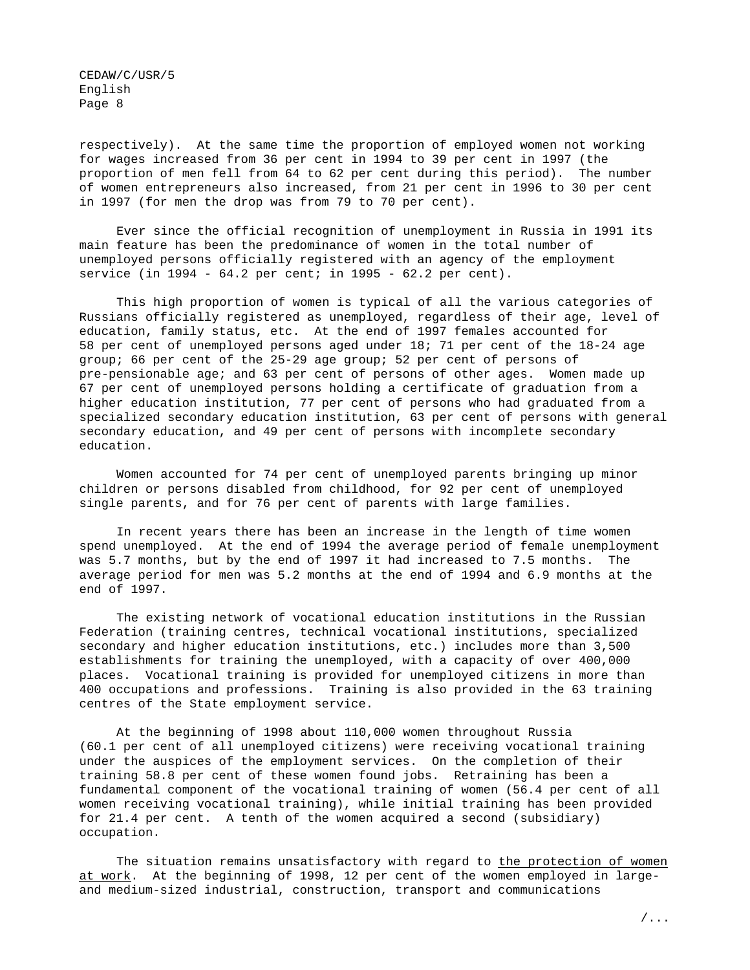respectively). At the same time the proportion of employed women not working for wages increased from 36 per cent in 1994 to 39 per cent in 1997 (the proportion of men fell from 64 to 62 per cent during this period). The number of women entrepreneurs also increased, from 21 per cent in 1996 to 30 per cent in 1997 (for men the drop was from 79 to 70 per cent).

Ever since the official recognition of unemployment in Russia in 1991 its main feature has been the predominance of women in the total number of unemployed persons officially registered with an agency of the employment service (in 1994 - 64.2 per cent; in 1995 - 62.2 per cent).

This high proportion of women is typical of all the various categories of Russians officially registered as unemployed, regardless of their age, level of education, family status, etc. At the end of 1997 females accounted for 58 per cent of unemployed persons aged under 18; 71 per cent of the 18-24 age group; 66 per cent of the 25-29 age group; 52 per cent of persons of pre-pensionable age; and 63 per cent of persons of other ages. Women made up 67 per cent of unemployed persons holding a certificate of graduation from a higher education institution, 77 per cent of persons who had graduated from a specialized secondary education institution, 63 per cent of persons with general secondary education, and 49 per cent of persons with incomplete secondary education.

Women accounted for 74 per cent of unemployed parents bringing up minor children or persons disabled from childhood, for 92 per cent of unemployed single parents, and for 76 per cent of parents with large families.

In recent years there has been an increase in the length of time women spend unemployed. At the end of 1994 the average period of female unemployment was 5.7 months, but by the end of 1997 it had increased to 7.5 months. The average period for men was 5.2 months at the end of 1994 and 6.9 months at the end of 1997.

The existing network of vocational education institutions in the Russian Federation (training centres, technical vocational institutions, specialized secondary and higher education institutions, etc.) includes more than 3,500 establishments for training the unemployed, with a capacity of over 400,000 places. Vocational training is provided for unemployed citizens in more than 400 occupations and professions. Training is also provided in the 63 training centres of the State employment service.

At the beginning of 1998 about 110,000 women throughout Russia (60.1 per cent of all unemployed citizens) were receiving vocational training under the auspices of the employment services. On the completion of their training 58.8 per cent of these women found jobs. Retraining has been a fundamental component of the vocational training of women (56.4 per cent of all women receiving vocational training), while initial training has been provided for 21.4 per cent. A tenth of the women acquired a second (subsidiary) occupation.

The situation remains unsatisfactory with regard to the protection of women at work. At the beginning of 1998, 12 per cent of the women employed in largeand medium-sized industrial, construction, transport and communications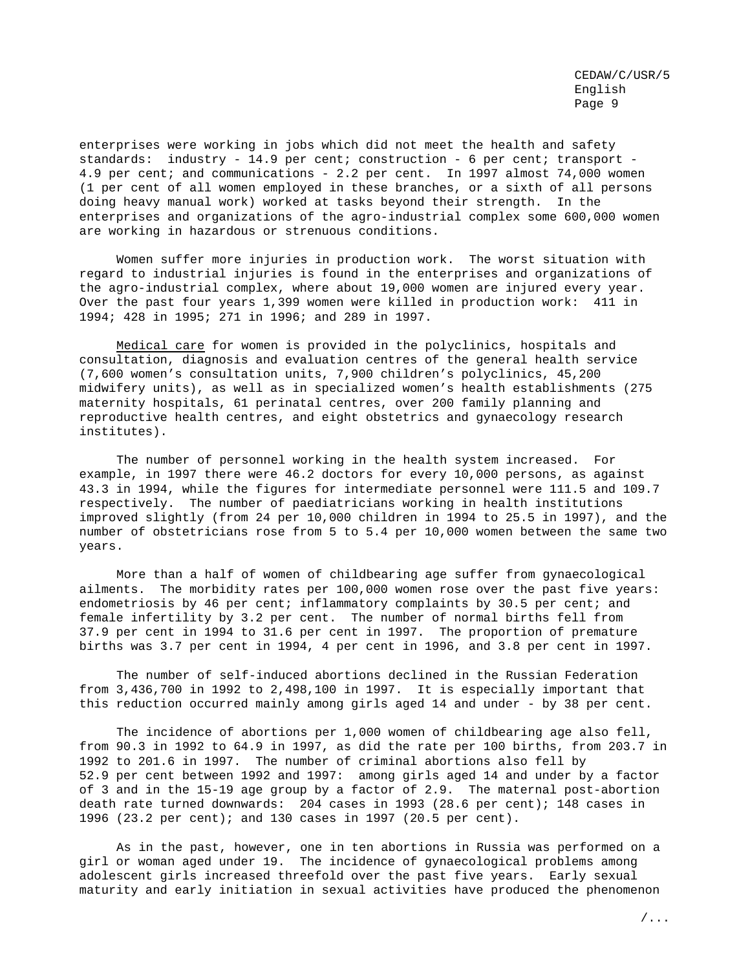enterprises were working in jobs which did not meet the health and safety standards: industry - 14.9 per cent; construction - 6 per cent; transport - 4.9 per cent; and communications - 2.2 per cent. In 1997 almost 74,000 women (1 per cent of all women employed in these branches, or a sixth of all persons doing heavy manual work) worked at tasks beyond their strength. In the enterprises and organizations of the agro-industrial complex some 600,000 women are working in hazardous or strenuous conditions.

Women suffer more injuries in production work. The worst situation with regard to industrial injuries is found in the enterprises and organizations of the agro-industrial complex, where about 19,000 women are injured every year. Over the past four years 1,399 women were killed in production work: 411 in 1994; 428 in 1995; 271 in 1996; and 289 in 1997.

Medical care for women is provided in the polyclinics, hospitals and consultation, diagnosis and evaluation centres of the general health service (7,600 women's consultation units, 7,900 children's polyclinics, 45,200 midwifery units), as well as in specialized women's health establishments (275 maternity hospitals, 61 perinatal centres, over 200 family planning and reproductive health centres, and eight obstetrics and gynaecology research institutes).

The number of personnel working in the health system increased. For example, in 1997 there were 46.2 doctors for every 10,000 persons, as against 43.3 in 1994, while the figures for intermediate personnel were 111.5 and 109.7 respectively. The number of paediatricians working in health institutions improved slightly (from 24 per 10,000 children in 1994 to 25.5 in 1997), and the number of obstetricians rose from 5 to 5.4 per 10,000 women between the same two years.

More than a half of women of childbearing age suffer from gynaecological ailments. The morbidity rates per 100,000 women rose over the past five years: endometriosis by 46 per cent; inflammatory complaints by 30.5 per cent; and female infertility by 3.2 per cent. The number of normal births fell from 37.9 per cent in 1994 to 31.6 per cent in 1997. The proportion of premature births was 3.7 per cent in 1994, 4 per cent in 1996, and 3.8 per cent in 1997.

The number of self-induced abortions declined in the Russian Federation from 3,436,700 in 1992 to 2,498,100 in 1997. It is especially important that this reduction occurred mainly among girls aged 14 and under - by 38 per cent.

The incidence of abortions per 1,000 women of childbearing age also fell, from 90.3 in 1992 to 64.9 in 1997, as did the rate per 100 births, from 203.7 in 1992 to 201.6 in 1997. The number of criminal abortions also fell by 52.9 per cent between 1992 and 1997: among girls aged 14 and under by a factor of 3 and in the 15-19 age group by a factor of 2.9. The maternal post-abortion death rate turned downwards: 204 cases in 1993 (28.6 per cent); 148 cases in 1996 (23.2 per cent); and 130 cases in 1997 (20.5 per cent).

As in the past, however, one in ten abortions in Russia was performed on a girl or woman aged under 19. The incidence of gynaecological problems among adolescent girls increased threefold over the past five years. Early sexual maturity and early initiation in sexual activities have produced the phenomenon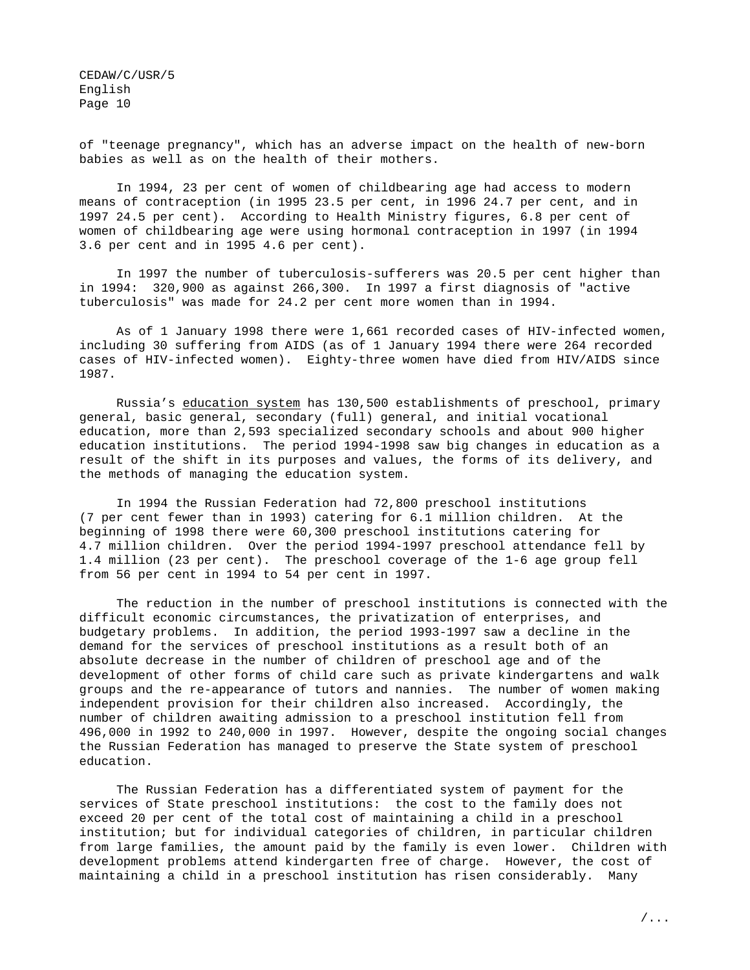of "teenage pregnancy", which has an adverse impact on the health of new-born babies as well as on the health of their mothers.

In 1994, 23 per cent of women of childbearing age had access to modern means of contraception (in 1995 23.5 per cent, in 1996 24.7 per cent, and in 1997 24.5 per cent). According to Health Ministry figures, 6.8 per cent of women of childbearing age were using hormonal contraception in 1997 (in 1994 3.6 per cent and in 1995 4.6 per cent).

In 1997 the number of tuberculosis-sufferers was 20.5 per cent higher than in 1994: 320,900 as against 266,300. In 1997 a first diagnosis of "active tuberculosis" was made for 24.2 per cent more women than in 1994.

As of 1 January 1998 there were 1,661 recorded cases of HIV-infected women, including 30 suffering from AIDS (as of 1 January 1994 there were 264 recorded cases of HIV-infected women). Eighty-three women have died from HIV/AIDS since 1987.

Russia's education system has 130,500 establishments of preschool, primary general, basic general, secondary (full) general, and initial vocational education, more than 2,593 specialized secondary schools and about 900 higher education institutions. The period 1994-1998 saw big changes in education as a result of the shift in its purposes and values, the forms of its delivery, and the methods of managing the education system.

In 1994 the Russian Federation had 72,800 preschool institutions (7 per cent fewer than in 1993) catering for 6.1 million children. At the beginning of 1998 there were 60,300 preschool institutions catering for 4.7 million children. Over the period 1994-1997 preschool attendance fell by 1.4 million (23 per cent). The preschool coverage of the 1-6 age group fell from 56 per cent in 1994 to 54 per cent in 1997.

The reduction in the number of preschool institutions is connected with the difficult economic circumstances, the privatization of enterprises, and budgetary problems. In addition, the period 1993-1997 saw a decline in the demand for the services of preschool institutions as a result both of an absolute decrease in the number of children of preschool age and of the development of other forms of child care such as private kindergartens and walk groups and the re-appearance of tutors and nannies. The number of women making independent provision for their children also increased. Accordingly, the number of children awaiting admission to a preschool institution fell from 496,000 in 1992 to 240,000 in 1997. However, despite the ongoing social changes the Russian Federation has managed to preserve the State system of preschool education.

The Russian Federation has a differentiated system of payment for the services of State preschool institutions: the cost to the family does not exceed 20 per cent of the total cost of maintaining a child in a preschool institution; but for individual categories of children, in particular children from large families, the amount paid by the family is even lower. Children with development problems attend kindergarten free of charge. However, the cost of maintaining a child in a preschool institution has risen considerably. Many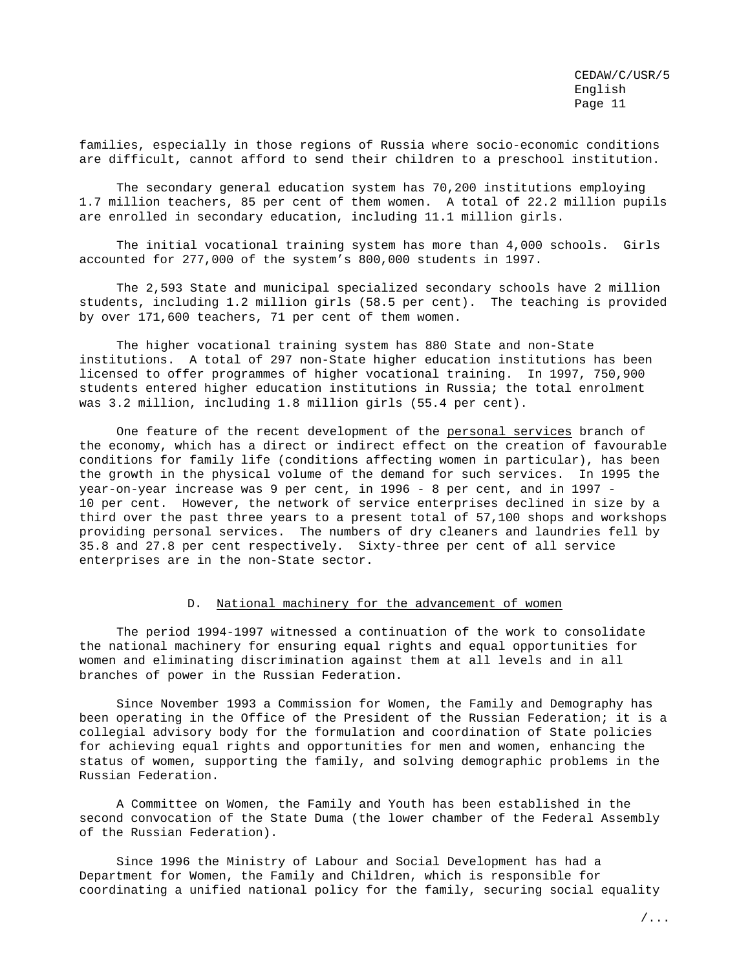families, especially in those regions of Russia where socio-economic conditions are difficult, cannot afford to send their children to a preschool institution.

The secondary general education system has 70,200 institutions employing 1.7 million teachers, 85 per cent of them women. A total of 22.2 million pupils are enrolled in secondary education, including 11.1 million girls.

The initial vocational training system has more than 4,000 schools. Girls accounted for 277,000 of the system's 800,000 students in 1997.

The 2,593 State and municipal specialized secondary schools have 2 million students, including 1.2 million girls (58.5 per cent). The teaching is provided by over 171,600 teachers, 71 per cent of them women.

The higher vocational training system has 880 State and non-State institutions. A total of 297 non-State higher education institutions has been licensed to offer programmes of higher vocational training. In 1997, 750,900 students entered higher education institutions in Russia; the total enrolment was 3.2 million, including 1.8 million girls (55.4 per cent).

One feature of the recent development of the personal services branch of the economy, which has a direct or indirect effect on the creation of favourable conditions for family life (conditions affecting women in particular), has been the growth in the physical volume of the demand for such services. In 1995 the year-on-year increase was 9 per cent, in 1996 - 8 per cent, and in 1997 - 10 per cent. However, the network of service enterprises declined in size by a third over the past three years to a present total of 57,100 shops and workshops providing personal services. The numbers of dry cleaners and laundries fell by 35.8 and 27.8 per cent respectively. Sixty-three per cent of all service enterprises are in the non-State sector.

## D. National machinery for the advancement of women

The period 1994-1997 witnessed a continuation of the work to consolidate the national machinery for ensuring equal rights and equal opportunities for women and eliminating discrimination against them at all levels and in all branches of power in the Russian Federation.

Since November 1993 a Commission for Women, the Family and Demography has been operating in the Office of the President of the Russian Federation; it is a collegial advisory body for the formulation and coordination of State policies for achieving equal rights and opportunities for men and women, enhancing the status of women, supporting the family, and solving demographic problems in the Russian Federation.

A Committee on Women, the Family and Youth has been established in the second convocation of the State Duma (the lower chamber of the Federal Assembly of the Russian Federation).

Since 1996 the Ministry of Labour and Social Development has had a Department for Women, the Family and Children, which is responsible for coordinating a unified national policy for the family, securing social equality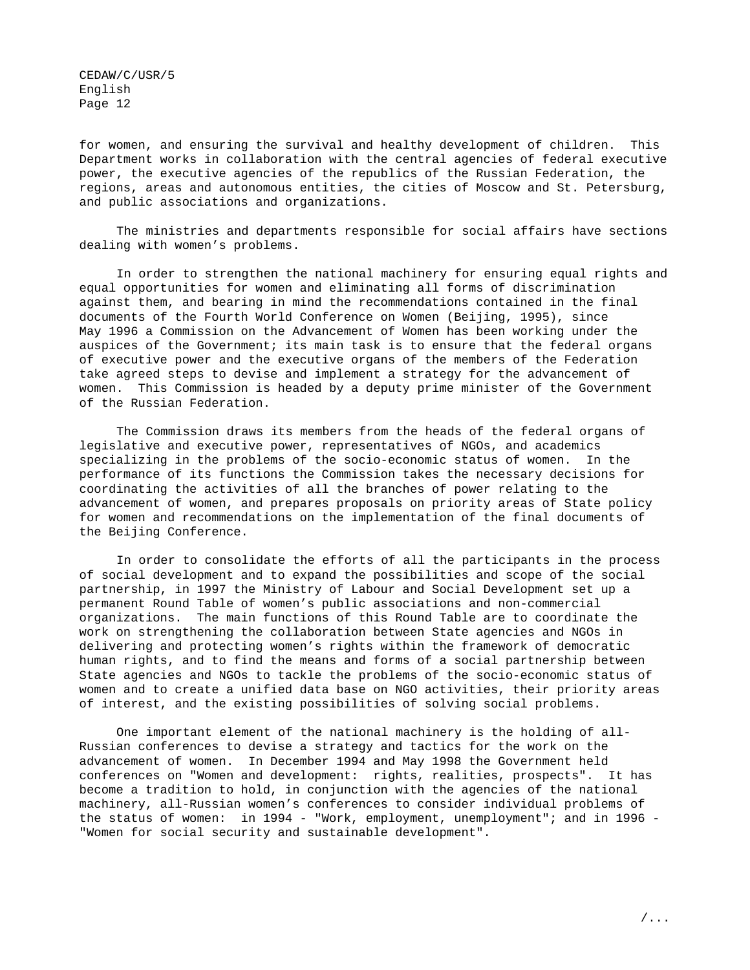for women, and ensuring the survival and healthy development of children. This Department works in collaboration with the central agencies of federal executive power, the executive agencies of the republics of the Russian Federation, the regions, areas and autonomous entities, the cities of Moscow and St. Petersburg, and public associations and organizations.

The ministries and departments responsible for social affairs have sections dealing with women's problems.

In order to strengthen the national machinery for ensuring equal rights and equal opportunities for women and eliminating all forms of discrimination against them, and bearing in mind the recommendations contained in the final documents of the Fourth World Conference on Women (Beijing, 1995), since May 1996 a Commission on the Advancement of Women has been working under the auspices of the Government; its main task is to ensure that the federal organs of executive power and the executive organs of the members of the Federation take agreed steps to devise and implement a strategy for the advancement of women. This Commission is headed by a deputy prime minister of the Government of the Russian Federation.

The Commission draws its members from the heads of the federal organs of legislative and executive power, representatives of NGOs, and academics specializing in the problems of the socio-economic status of women. In the performance of its functions the Commission takes the necessary decisions for coordinating the activities of all the branches of power relating to the advancement of women, and prepares proposals on priority areas of State policy for women and recommendations on the implementation of the final documents of the Beijing Conference.

In order to consolidate the efforts of all the participants in the process of social development and to expand the possibilities and scope of the social partnership, in 1997 the Ministry of Labour and Social Development set up a permanent Round Table of women's public associations and non-commercial organizations. The main functions of this Round Table are to coordinate the work on strengthening the collaboration between State agencies and NGOs in delivering and protecting women's rights within the framework of democratic human rights, and to find the means and forms of a social partnership between State agencies and NGOs to tackle the problems of the socio-economic status of women and to create a unified data base on NGO activities, their priority areas of interest, and the existing possibilities of solving social problems.

One important element of the national machinery is the holding of all-Russian conferences to devise a strategy and tactics for the work on the advancement of women. In December 1994 and May 1998 the Government held conferences on "Women and development: rights, realities, prospects". It has become a tradition to hold, in conjunction with the agencies of the national machinery, all-Russian women's conferences to consider individual problems of the status of women: in 1994 - "Work, employment, unemployment"; and in 1996 - "Women for social security and sustainable development".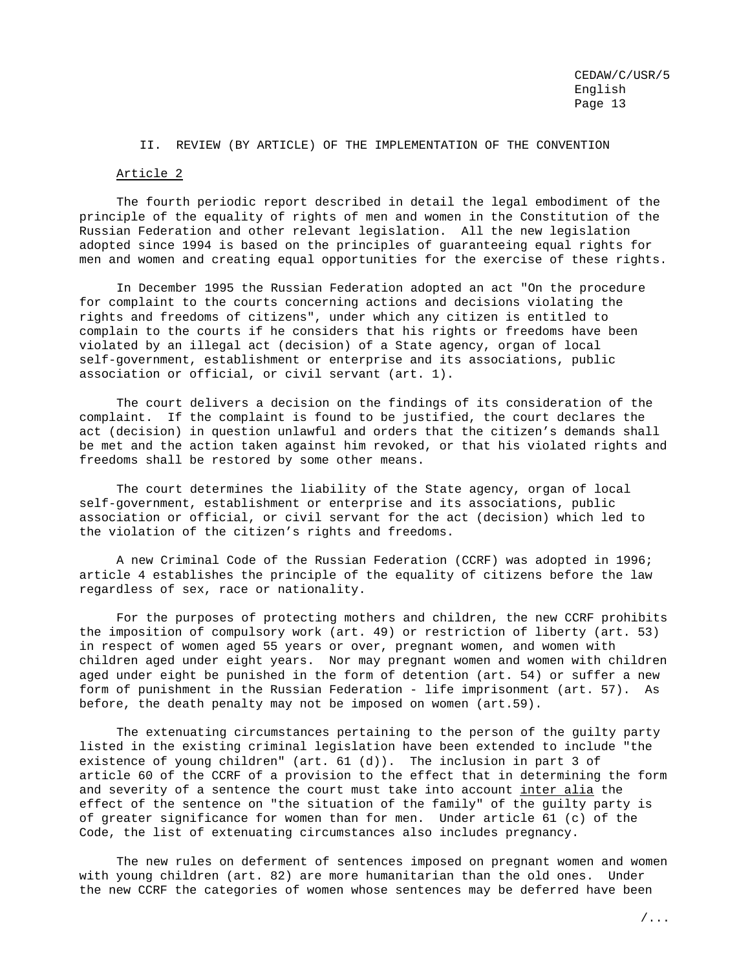#### II. REVIEW (BY ARTICLE) OF THE IMPLEMENTATION OF THE CONVENTION

## Article 2

The fourth periodic report described in detail the legal embodiment of the principle of the equality of rights of men and women in the Constitution of the Russian Federation and other relevant legislation. All the new legislation adopted since 1994 is based on the principles of guaranteeing equal rights for men and women and creating equal opportunities for the exercise of these rights.

In December 1995 the Russian Federation adopted an act "On the procedure for complaint to the courts concerning actions and decisions violating the rights and freedoms of citizens", under which any citizen is entitled to complain to the courts if he considers that his rights or freedoms have been violated by an illegal act (decision) of a State agency, organ of local self-government, establishment or enterprise and its associations, public association or official, or civil servant (art. 1).

The court delivers a decision on the findings of its consideration of the complaint. If the complaint is found to be justified, the court declares the act (decision) in question unlawful and orders that the citizen's demands shall be met and the action taken against him revoked, or that his violated rights and freedoms shall be restored by some other means.

The court determines the liability of the State agency, organ of local self-government, establishment or enterprise and its associations, public association or official, or civil servant for the act (decision) which led to the violation of the citizen's rights and freedoms.

A new Criminal Code of the Russian Federation (CCRF) was adopted in 1996; article 4 establishes the principle of the equality of citizens before the law regardless of sex, race or nationality.

For the purposes of protecting mothers and children, the new CCRF prohibits the imposition of compulsory work (art. 49) or restriction of liberty (art. 53) in respect of women aged 55 years or over, pregnant women, and women with children aged under eight years. Nor may pregnant women and women with children aged under eight be punished in the form of detention (art. 54) or suffer a new form of punishment in the Russian Federation - life imprisonment (art. 57). As before, the death penalty may not be imposed on women (art.59).

The extenuating circumstances pertaining to the person of the guilty party listed in the existing criminal legislation have been extended to include "the existence of young children" (art. 61 (d)). The inclusion in part 3 of article 60 of the CCRF of a provision to the effect that in determining the form and severity of a sentence the court must take into account inter alia the effect of the sentence on "the situation of the family" of the guilty party is of greater significance for women than for men. Under article 61 (c) of the Code, the list of extenuating circumstances also includes pregnancy.

The new rules on deferment of sentences imposed on pregnant women and women with young children (art. 82) are more humanitarian than the old ones. Under the new CCRF the categories of women whose sentences may be deferred have been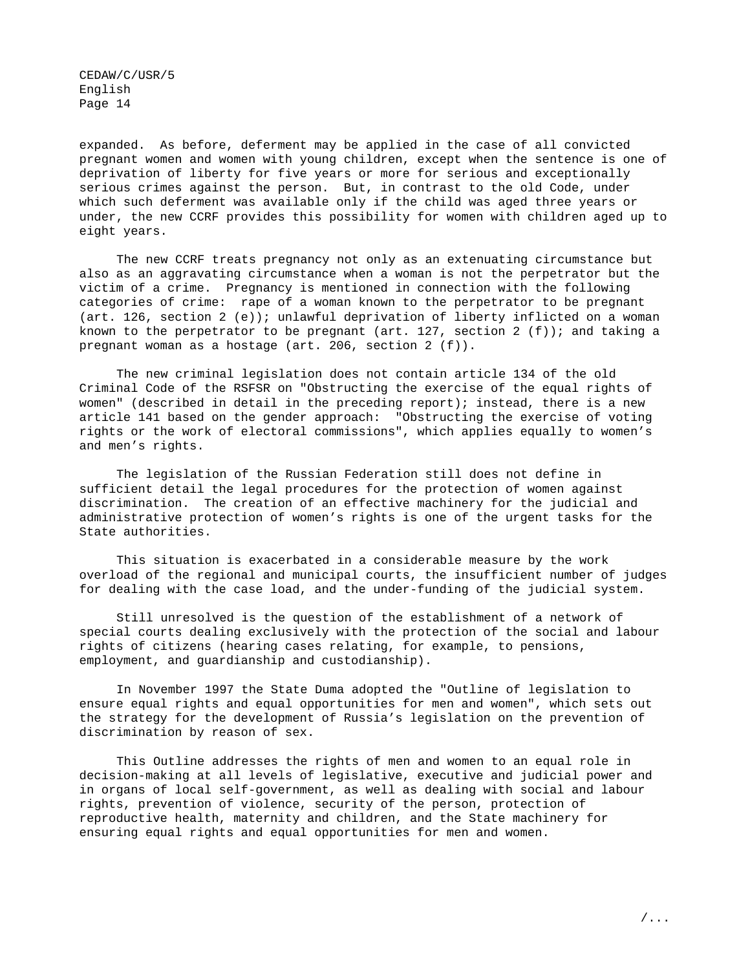expanded. As before, deferment may be applied in the case of all convicted pregnant women and women with young children, except when the sentence is one of deprivation of liberty for five years or more for serious and exceptionally serious crimes against the person. But, in contrast to the old Code, under which such deferment was available only if the child was aged three years or under, the new CCRF provides this possibility for women with children aged up to eight years.

The new CCRF treats pregnancy not only as an extenuating circumstance but also as an aggravating circumstance when a woman is not the perpetrator but the victim of a crime. Pregnancy is mentioned in connection with the following categories of crime: rape of a woman known to the perpetrator to be pregnant (art. 126, section 2 (e)); unlawful deprivation of liberty inflicted on a woman known to the perpetrator to be pregnant (art. 127, section 2 (f)); and taking a pregnant woman as a hostage (art. 206, section 2 (f)).

The new criminal legislation does not contain article 134 of the old Criminal Code of the RSFSR on "Obstructing the exercise of the equal rights of women" (described in detail in the preceding report); instead, there is a new article 141 based on the gender approach: "Obstructing the exercise of voting rights or the work of electoral commissions", which applies equally to women's and men's rights.

The legislation of the Russian Federation still does not define in sufficient detail the legal procedures for the protection of women against discrimination. The creation of an effective machinery for the judicial and administrative protection of women's rights is one of the urgent tasks for the State authorities.

This situation is exacerbated in a considerable measure by the work overload of the regional and municipal courts, the insufficient number of judges for dealing with the case load, and the under-funding of the judicial system.

Still unresolved is the question of the establishment of a network of special courts dealing exclusively with the protection of the social and labour rights of citizens (hearing cases relating, for example, to pensions, employment, and guardianship and custodianship).

In November 1997 the State Duma adopted the "Outline of legislation to ensure equal rights and equal opportunities for men and women", which sets out the strategy for the development of Russia's legislation on the prevention of discrimination by reason of sex.

This Outline addresses the rights of men and women to an equal role in decision-making at all levels of legislative, executive and judicial power and in organs of local self-government, as well as dealing with social and labour rights, prevention of violence, security of the person, protection of reproductive health, maternity and children, and the State machinery for ensuring equal rights and equal opportunities for men and women.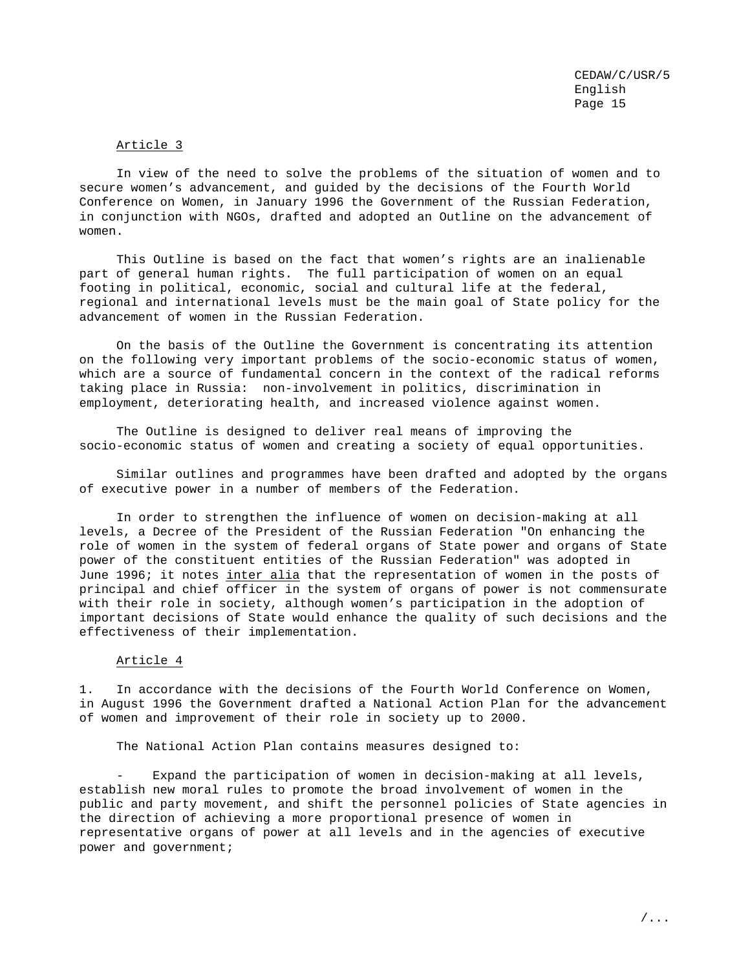### Article 3

In view of the need to solve the problems of the situation of women and to secure women's advancement, and guided by the decisions of the Fourth World Conference on Women, in January 1996 the Government of the Russian Federation, in conjunction with NGOs, drafted and adopted an Outline on the advancement of women.

This Outline is based on the fact that women's rights are an inalienable part of general human rights. The full participation of women on an equal footing in political, economic, social and cultural life at the federal, regional and international levels must be the main goal of State policy for the advancement of women in the Russian Federation.

On the basis of the Outline the Government is concentrating its attention on the following very important problems of the socio-economic status of women, which are a source of fundamental concern in the context of the radical reforms taking place in Russia: non-involvement in politics, discrimination in employment, deteriorating health, and increased violence against women.

The Outline is designed to deliver real means of improving the socio-economic status of women and creating a society of equal opportunities.

Similar outlines and programmes have been drafted and adopted by the organs of executive power in a number of members of the Federation.

In order to strengthen the influence of women on decision-making at all levels, a Decree of the President of the Russian Federation "On enhancing the role of women in the system of federal organs of State power and organs of State power of the constituent entities of the Russian Federation" was adopted in June 1996; it notes inter alia that the representation of women in the posts of principal and chief officer in the system of organs of power is not commensurate with their role in society, although women's participation in the adoption of important decisions of State would enhance the quality of such decisions and the effectiveness of their implementation.

## Article 4

1. In accordance with the decisions of the Fourth World Conference on Women, in August 1996 the Government drafted a National Action Plan for the advancement of women and improvement of their role in society up to 2000.

The National Action Plan contains measures designed to:

Expand the participation of women in decision-making at all levels, establish new moral rules to promote the broad involvement of women in the public and party movement, and shift the personnel policies of State agencies in the direction of achieving a more proportional presence of women in representative organs of power at all levels and in the agencies of executive power and government;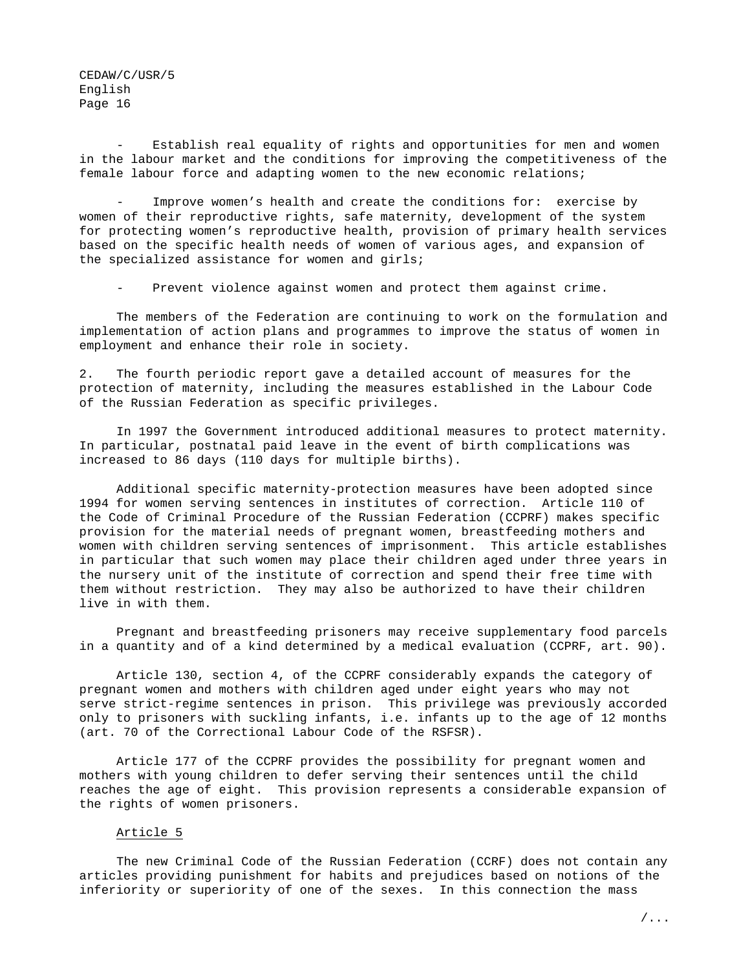Establish real equality of rights and opportunities for men and women in the labour market and the conditions for improving the competitiveness of the female labour force and adapting women to the new economic relations;

Improve women's health and create the conditions for: exercise by women of their reproductive rights, safe maternity, development of the system for protecting women's reproductive health, provision of primary health services based on the specific health needs of women of various ages, and expansion of the specialized assistance for women and girls;

Prevent violence against women and protect them against crime.

The members of the Federation are continuing to work on the formulation and implementation of action plans and programmes to improve the status of women in employment and enhance their role in society.

2. The fourth periodic report gave a detailed account of measures for the protection of maternity, including the measures established in the Labour Code of the Russian Federation as specific privileges.

In 1997 the Government introduced additional measures to protect maternity. In particular, postnatal paid leave in the event of birth complications was increased to 86 days (110 days for multiple births).

Additional specific maternity-protection measures have been adopted since 1994 for women serving sentences in institutes of correction. Article 110 of the Code of Criminal Procedure of the Russian Federation (CCPRF) makes specific provision for the material needs of pregnant women, breastfeeding mothers and women with children serving sentences of imprisonment. This article establishes in particular that such women may place their children aged under three years in the nursery unit of the institute of correction and spend their free time with them without restriction. They may also be authorized to have their children live in with them.

Pregnant and breastfeeding prisoners may receive supplementary food parcels in a quantity and of a kind determined by a medical evaluation (CCPRF, art. 90).

Article 130, section 4, of the CCPRF considerably expands the category of pregnant women and mothers with children aged under eight years who may not serve strict-regime sentences in prison. This privilege was previously accorded only to prisoners with suckling infants, i.e. infants up to the age of 12 months (art. 70 of the Correctional Labour Code of the RSFSR).

Article 177 of the CCPRF provides the possibility for pregnant women and mothers with young children to defer serving their sentences until the child reaches the age of eight. This provision represents a considerable expansion of the rights of women prisoners.

## Article 5

The new Criminal Code of the Russian Federation (CCRF) does not contain any articles providing punishment for habits and prejudices based on notions of the inferiority or superiority of one of the sexes. In this connection the mass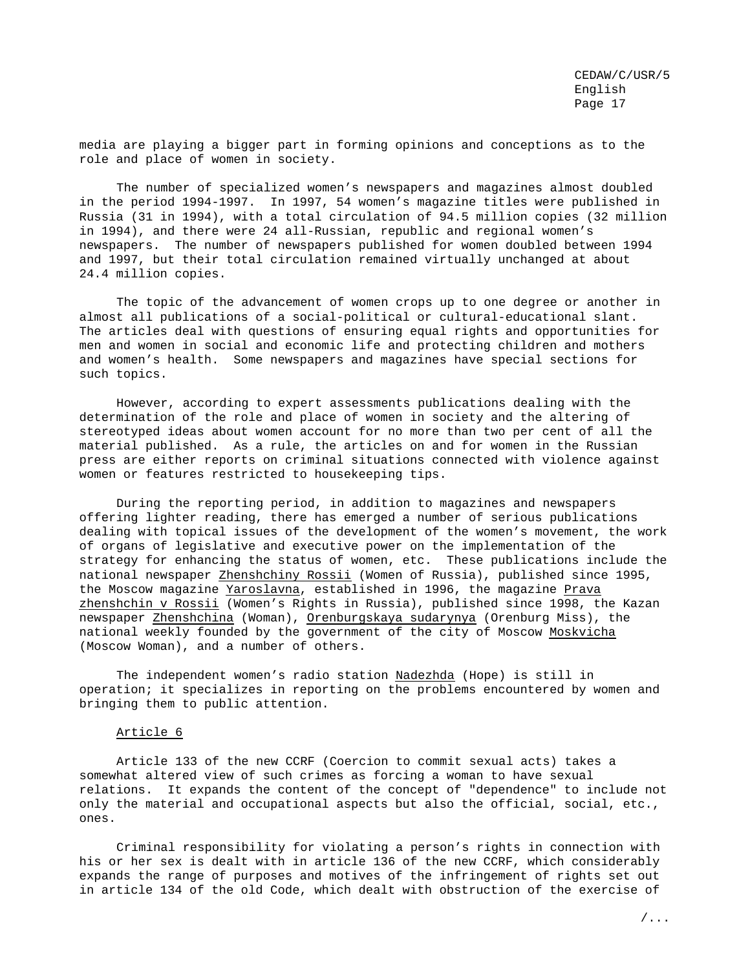media are playing a bigger part in forming opinions and conceptions as to the role and place of women in society.

The number of specialized women's newspapers and magazines almost doubled in the period 1994-1997. In 1997, 54 women's magazine titles were published in Russia (31 in 1994), with a total circulation of 94.5 million copies (32 million in 1994), and there were 24 all-Russian, republic and regional women's newspapers. The number of newspapers published for women doubled between 1994 and 1997, but their total circulation remained virtually unchanged at about 24.4 million copies.

The topic of the advancement of women crops up to one degree or another in almost all publications of a social-political or cultural-educational slant. The articles deal with questions of ensuring equal rights and opportunities for men and women in social and economic life and protecting children and mothers and women's health. Some newspapers and magazines have special sections for such topics.

However, according to expert assessments publications dealing with the determination of the role and place of women in society and the altering of stereotyped ideas about women account for no more than two per cent of all the material published. As a rule, the articles on and for women in the Russian press are either reports on criminal situations connected with violence against women or features restricted to housekeeping tips.

During the reporting period, in addition to magazines and newspapers offering lighter reading, there has emerged a number of serious publications dealing with topical issues of the development of the women's movement, the work of organs of legislative and executive power on the implementation of the strategy for enhancing the status of women, etc. These publications include the national newspaper Zhenshchiny Rossii (Women of Russia), published since 1995, the Moscow magazine Yaroslavna, established in 1996, the magazine Prava zhenshchin v Rossii (Women's Rights in Russia), published since 1998, the Kazan newspaper Zhenshchina (Woman), Orenburgskaya sudarynya (Orenburg Miss), the national weekly founded by the government of the city of Moscow Moskvicha (Moscow Woman), and a number of others.

The independent women's radio station Nadezhda (Hope) is still in operation; it specializes in reporting on the problems encountered by women and bringing them to public attention.

#### Article 6

Article 133 of the new CCRF (Coercion to commit sexual acts) takes a somewhat altered view of such crimes as forcing a woman to have sexual relations. It expands the content of the concept of "dependence" to include not only the material and occupational aspects but also the official, social, etc., ones.

Criminal responsibility for violating a person's rights in connection with his or her sex is dealt with in article 136 of the new CCRF, which considerably expands the range of purposes and motives of the infringement of rights set out in article 134 of the old Code, which dealt with obstruction of the exercise of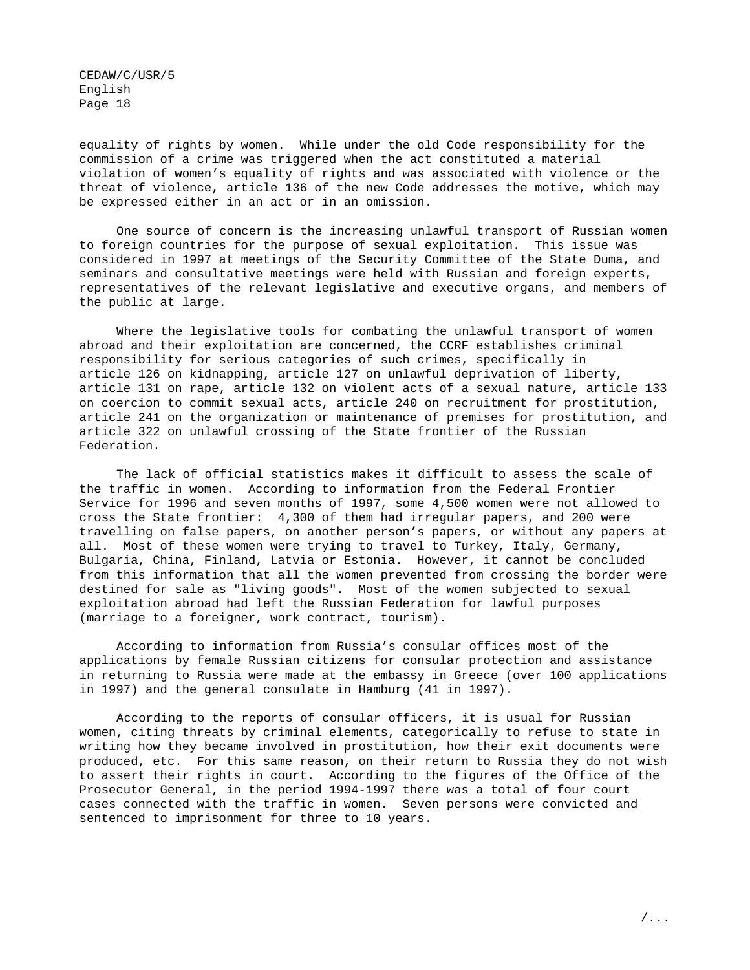equality of rights by women. While under the old Code responsibility for the commission of a crime was triggered when the act constituted a material violation of women's equality of rights and was associated with violence or the threat of violence, article 136 of the new Code addresses the motive, which may be expressed either in an act or in an omission.

One source of concern is the increasing unlawful transport of Russian women to foreign countries for the purpose of sexual exploitation. This issue was considered in 1997 at meetings of the Security Committee of the State Duma, and seminars and consultative meetings were held with Russian and foreign experts, representatives of the relevant legislative and executive organs, and members of the public at large.

Where the legislative tools for combating the unlawful transport of women abroad and their exploitation are concerned, the CCRF establishes criminal responsibility for serious categories of such crimes, specifically in article 126 on kidnapping, article 127 on unlawful deprivation of liberty, article 131 on rape, article 132 on violent acts of a sexual nature, article 133 on coercion to commit sexual acts, article 240 on recruitment for prostitution, article 241 on the organization or maintenance of premises for prostitution, and article 322 on unlawful crossing of the State frontier of the Russian Federation.

The lack of official statistics makes it difficult to assess the scale of the traffic in women. According to information from the Federal Frontier Service for 1996 and seven months of 1997, some 4,500 women were not allowed to cross the State frontier: 4,300 of them had irregular papers, and 200 were travelling on false papers, on another person's papers, or without any papers at all. Most of these women were trying to travel to Turkey, Italy, Germany, Bulgaria, China, Finland, Latvia or Estonia. However, it cannot be concluded from this information that all the women prevented from crossing the border were destined for sale as "living goods". Most of the women subjected to sexual exploitation abroad had left the Russian Federation for lawful purposes (marriage to a foreigner, work contract, tourism).

According to information from Russia's consular offices most of the applications by female Russian citizens for consular protection and assistance in returning to Russia were made at the embassy in Greece (over 100 applications in 1997) and the general consulate in Hamburg (41 in 1997).

According to the reports of consular officers, it is usual for Russian women, citing threats by criminal elements, categorically to refuse to state in writing how they became involved in prostitution, how their exit documents were produced, etc. For this same reason, on their return to Russia they do not wish to assert their rights in court. According to the figures of the Office of the Prosecutor General, in the period 1994-1997 there was a total of four court cases connected with the traffic in women. Seven persons were convicted and sentenced to imprisonment for three to 10 years.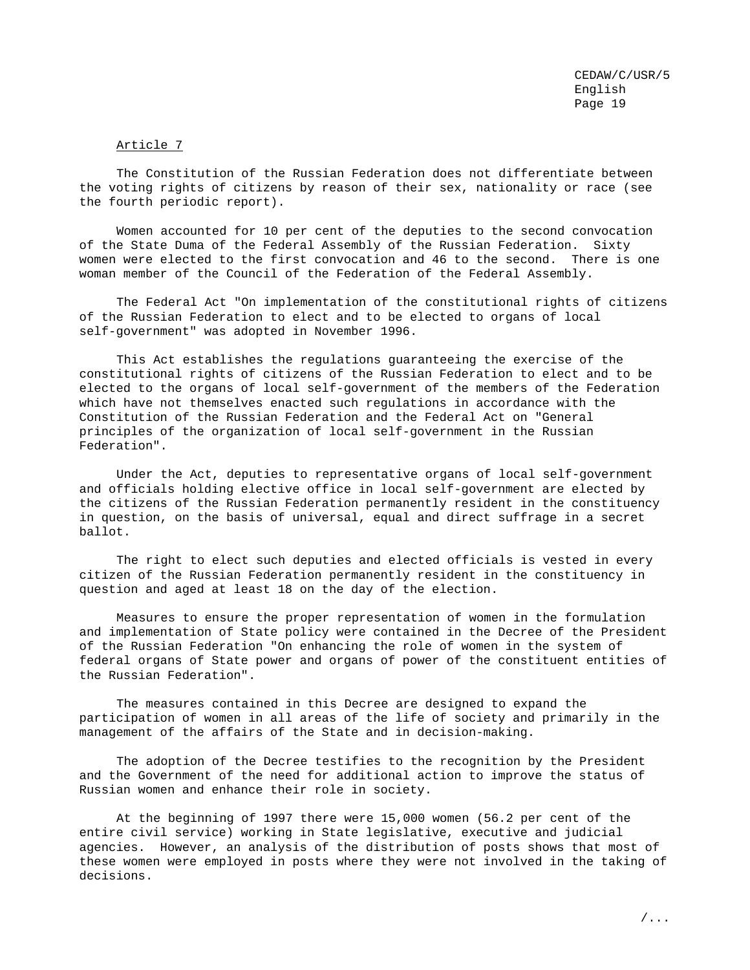#### Article 7

The Constitution of the Russian Federation does not differentiate between the voting rights of citizens by reason of their sex, nationality or race (see the fourth periodic report).

Women accounted for 10 per cent of the deputies to the second convocation of the State Duma of the Federal Assembly of the Russian Federation. Sixty women were elected to the first convocation and 46 to the second. There is one woman member of the Council of the Federation of the Federal Assembly.

The Federal Act "On implementation of the constitutional rights of citizens of the Russian Federation to elect and to be elected to organs of local self-government" was adopted in November 1996.

This Act establishes the regulations guaranteeing the exercise of the constitutional rights of citizens of the Russian Federation to elect and to be elected to the organs of local self-government of the members of the Federation which have not themselves enacted such regulations in accordance with the Constitution of the Russian Federation and the Federal Act on "General principles of the organization of local self-government in the Russian Federation".

Under the Act, deputies to representative organs of local self-government and officials holding elective office in local self-government are elected by the citizens of the Russian Federation permanently resident in the constituency in question, on the basis of universal, equal and direct suffrage in a secret ballot.

The right to elect such deputies and elected officials is vested in every citizen of the Russian Federation permanently resident in the constituency in question and aged at least 18 on the day of the election.

Measures to ensure the proper representation of women in the formulation and implementation of State policy were contained in the Decree of the President of the Russian Federation "On enhancing the role of women in the system of federal organs of State power and organs of power of the constituent entities of the Russian Federation".

The measures contained in this Decree are designed to expand the participation of women in all areas of the life of society and primarily in the management of the affairs of the State and in decision-making.

The adoption of the Decree testifies to the recognition by the President and the Government of the need for additional action to improve the status of Russian women and enhance their role in society.

At the beginning of 1997 there were 15,000 women (56.2 per cent of the entire civil service) working in State legislative, executive and judicial agencies. However, an analysis of the distribution of posts shows that most of these women were employed in posts where they were not involved in the taking of decisions.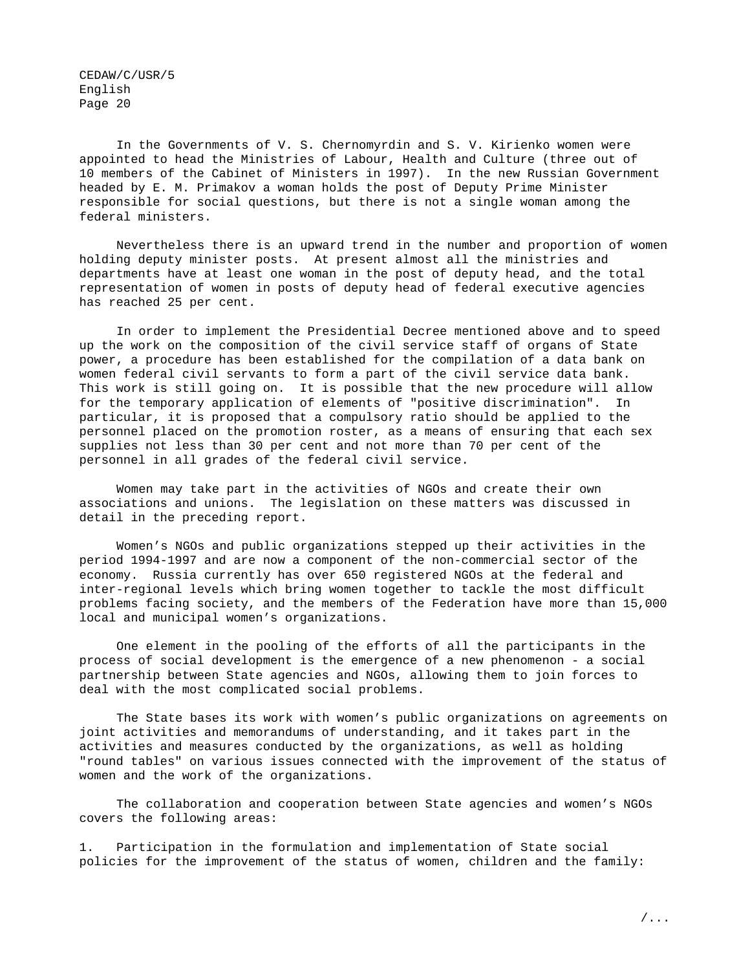In the Governments of V. S. Chernomyrdin and S. V. Kirienko women were appointed to head the Ministries of Labour, Health and Culture (three out of 10 members of the Cabinet of Ministers in 1997). In the new Russian Government headed by E. M. Primakov a woman holds the post of Deputy Prime Minister responsible for social questions, but there is not a single woman among the federal ministers.

Nevertheless there is an upward trend in the number and proportion of women holding deputy minister posts. At present almost all the ministries and departments have at least one woman in the post of deputy head, and the total representation of women in posts of deputy head of federal executive agencies has reached 25 per cent.

In order to implement the Presidential Decree mentioned above and to speed up the work on the composition of the civil service staff of organs of State power, a procedure has been established for the compilation of a data bank on women federal civil servants to form a part of the civil service data bank. This work is still going on. It is possible that the new procedure will allow for the temporary application of elements of "positive discrimination". In particular, it is proposed that a compulsory ratio should be applied to the personnel placed on the promotion roster, as a means of ensuring that each sex supplies not less than 30 per cent and not more than 70 per cent of the personnel in all grades of the federal civil service.

Women may take part in the activities of NGOs and create their own associations and unions. The legislation on these matters was discussed in detail in the preceding report.

Women's NGOs and public organizations stepped up their activities in the period 1994-1997 and are now a component of the non-commercial sector of the economy. Russia currently has over 650 registered NGOs at the federal and inter-regional levels which bring women together to tackle the most difficult problems facing society, and the members of the Federation have more than 15,000 local and municipal women's organizations.

One element in the pooling of the efforts of all the participants in the process of social development is the emergence of a new phenomenon - a social partnership between State agencies and NGOs, allowing them to join forces to deal with the most complicated social problems.

The State bases its work with women's public organizations on agreements on joint activities and memorandums of understanding, and it takes part in the activities and measures conducted by the organizations, as well as holding "round tables" on various issues connected with the improvement of the status of women and the work of the organizations.

The collaboration and cooperation between State agencies and women's NGOs covers the following areas:

1. Participation in the formulation and implementation of State social policies for the improvement of the status of women, children and the family: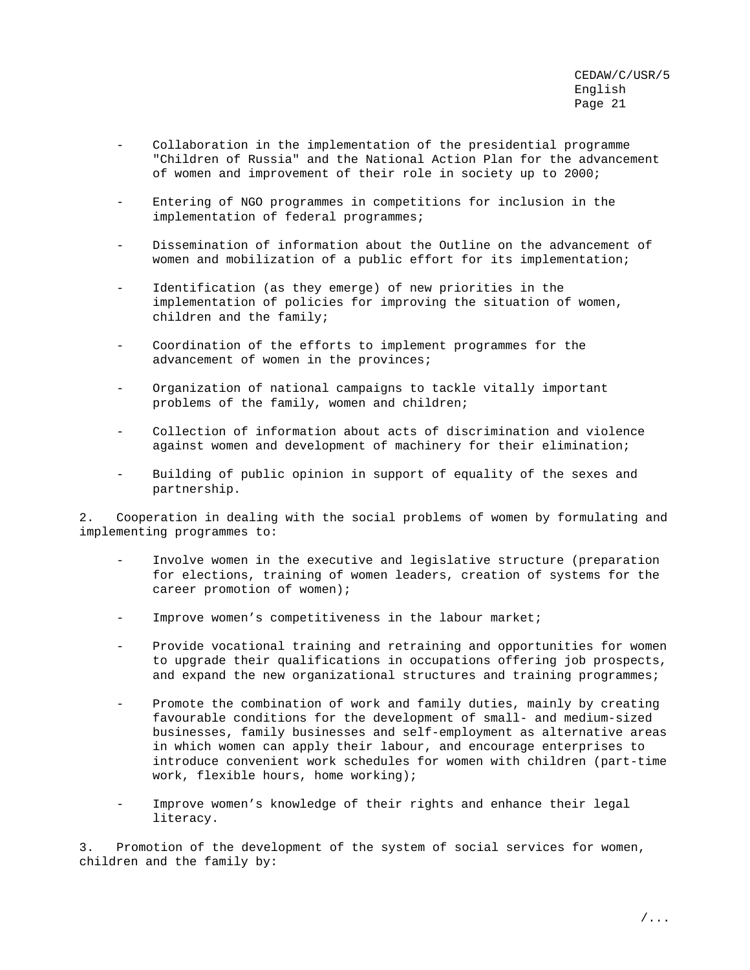- Collaboration in the implementation of the presidential programme "Children of Russia" and the National Action Plan for the advancement of women and improvement of their role in society up to 2000;
- Entering of NGO programmes in competitions for inclusion in the implementation of federal programmes;
- Dissemination of information about the Outline on the advancement of women and mobilization of a public effort for its implementation;
- Identification (as they emerge) of new priorities in the implementation of policies for improving the situation of women, children and the family;
- Coordination of the efforts to implement programmes for the advancement of women in the provinces;
- Organization of national campaigns to tackle vitally important problems of the family, women and children;
- Collection of information about acts of discrimination and violence against women and development of machinery for their elimination;
- Building of public opinion in support of equality of the sexes and partnership.

2. Cooperation in dealing with the social problems of women by formulating and implementing programmes to:

- Involve women in the executive and legislative structure (preparation for elections, training of women leaders, creation of systems for the career promotion of women);
- Improve women's competitiveness in the labour market;
- Provide vocational training and retraining and opportunities for women to upgrade their qualifications in occupations offering job prospects, and expand the new organizational structures and training programmes;
- Promote the combination of work and family duties, mainly by creating favourable conditions for the development of small- and medium-sized businesses, family businesses and self-employment as alternative areas in which women can apply their labour, and encourage enterprises to introduce convenient work schedules for women with children (part-time work, flexible hours, home working);
- Improve women's knowledge of their rights and enhance their legal literacy.

3. Promotion of the development of the system of social services for women, children and the family by: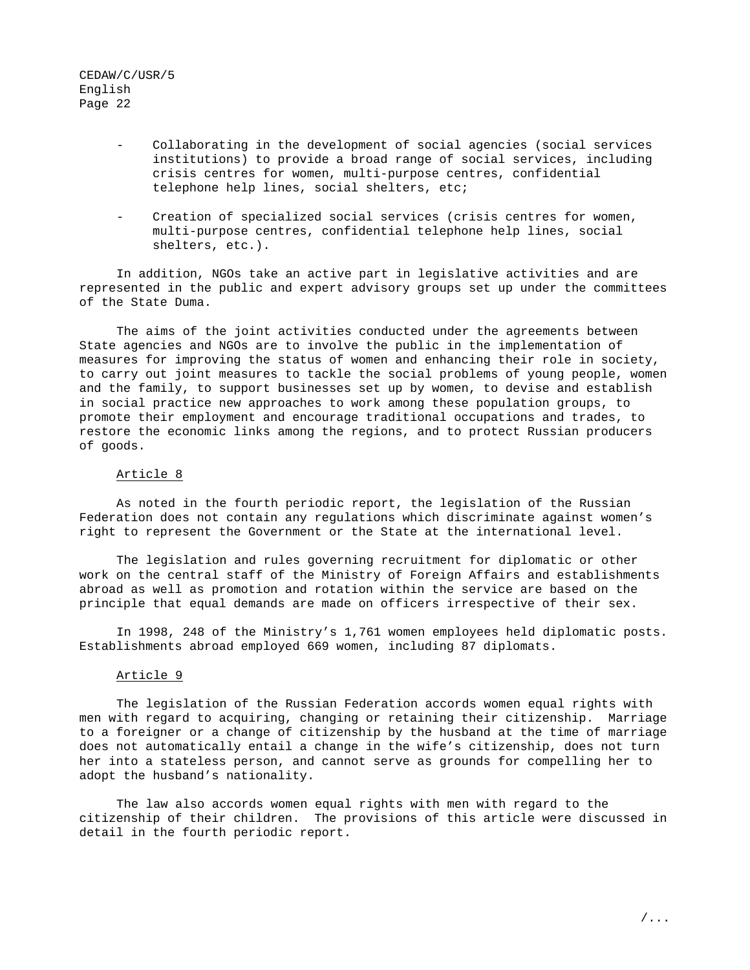- Collaborating in the development of social agencies (social services institutions) to provide a broad range of social services, including crisis centres for women, multi-purpose centres, confidential telephone help lines, social shelters, etc;
- Creation of specialized social services (crisis centres for women, multi-purpose centres, confidential telephone help lines, social shelters, etc.).

In addition, NGOs take an active part in legislative activities and are represented in the public and expert advisory groups set up under the committees of the State Duma.

The aims of the joint activities conducted under the agreements between State agencies and NGOs are to involve the public in the implementation of measures for improving the status of women and enhancing their role in society, to carry out joint measures to tackle the social problems of young people, women and the family, to support businesses set up by women, to devise and establish in social practice new approaches to work among these population groups, to promote their employment and encourage traditional occupations and trades, to restore the economic links among the regions, and to protect Russian producers of goods.

#### Article 8

As noted in the fourth periodic report, the legislation of the Russian Federation does not contain any regulations which discriminate against women's right to represent the Government or the State at the international level.

The legislation and rules governing recruitment for diplomatic or other work on the central staff of the Ministry of Foreign Affairs and establishments abroad as well as promotion and rotation within the service are based on the principle that equal demands are made on officers irrespective of their sex.

In 1998, 248 of the Ministry's 1,761 women employees held diplomatic posts. Establishments abroad employed 669 women, including 87 diplomats.

## Article 9

The legislation of the Russian Federation accords women equal rights with men with regard to acquiring, changing or retaining their citizenship. Marriage to a foreigner or a change of citizenship by the husband at the time of marriage does not automatically entail a change in the wife's citizenship, does not turn her into a stateless person, and cannot serve as grounds for compelling her to adopt the husband's nationality.

The law also accords women equal rights with men with regard to the citizenship of their children. The provisions of this article were discussed in detail in the fourth periodic report.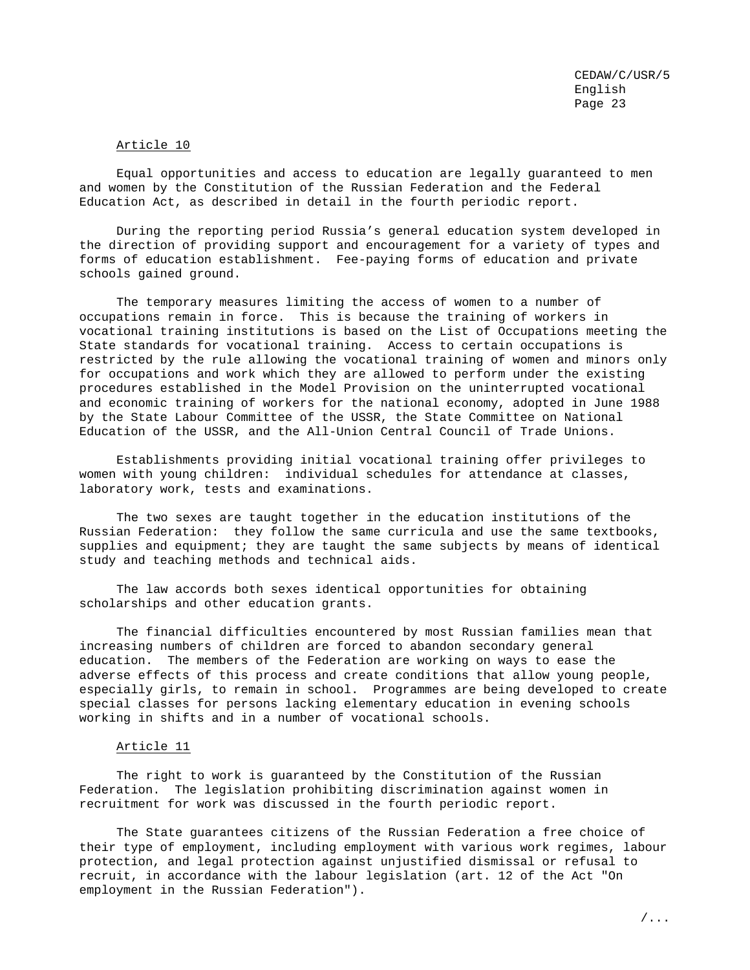### Article 10

Equal opportunities and access to education are legally guaranteed to men and women by the Constitution of the Russian Federation and the Federal Education Act, as described in detail in the fourth periodic report.

During the reporting period Russia's general education system developed in the direction of providing support and encouragement for a variety of types and forms of education establishment. Fee-paying forms of education and private schools gained ground.

The temporary measures limiting the access of women to a number of occupations remain in force. This is because the training of workers in vocational training institutions is based on the List of Occupations meeting the State standards for vocational training. Access to certain occupations is restricted by the rule allowing the vocational training of women and minors only for occupations and work which they are allowed to perform under the existing procedures established in the Model Provision on the uninterrupted vocational and economic training of workers for the national economy, adopted in June 1988 by the State Labour Committee of the USSR, the State Committee on National Education of the USSR, and the All-Union Central Council of Trade Unions.

Establishments providing initial vocational training offer privileges to women with young children: individual schedules for attendance at classes, laboratory work, tests and examinations.

The two sexes are taught together in the education institutions of the Russian Federation: they follow the same curricula and use the same textbooks, supplies and equipment; they are taught the same subjects by means of identical study and teaching methods and technical aids.

The law accords both sexes identical opportunities for obtaining scholarships and other education grants.

The financial difficulties encountered by most Russian families mean that increasing numbers of children are forced to abandon secondary general education. The members of the Federation are working on ways to ease the adverse effects of this process and create conditions that allow young people, especially girls, to remain in school. Programmes are being developed to create special classes for persons lacking elementary education in evening schools working in shifts and in a number of vocational schools.

## Article 11

The right to work is guaranteed by the Constitution of the Russian Federation. The legislation prohibiting discrimination against women in recruitment for work was discussed in the fourth periodic report.

The State guarantees citizens of the Russian Federation a free choice of their type of employment, including employment with various work regimes, labour protection, and legal protection against unjustified dismissal or refusal to recruit, in accordance with the labour legislation (art. 12 of the Act "On employment in the Russian Federation").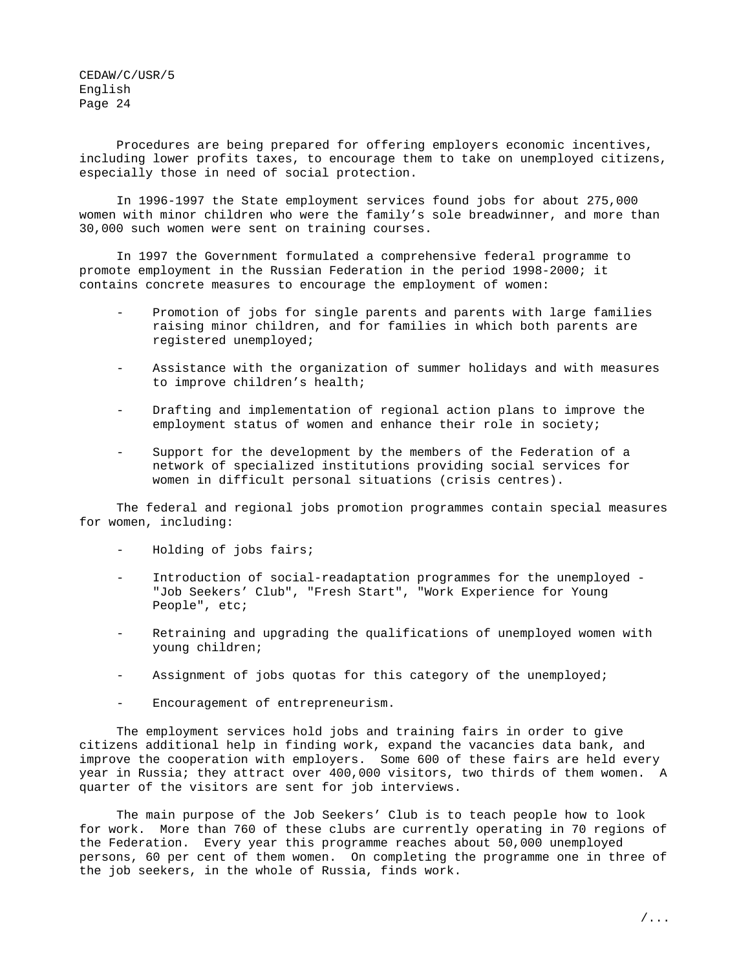Procedures are being prepared for offering employers economic incentives, including lower profits taxes, to encourage them to take on unemployed citizens, especially those in need of social protection.

In 1996-1997 the State employment services found jobs for about 275,000 women with minor children who were the family's sole breadwinner, and more than 30,000 such women were sent on training courses.

In 1997 the Government formulated a comprehensive federal programme to promote employment in the Russian Federation in the period 1998-2000; it contains concrete measures to encourage the employment of women:

- Promotion of jobs for single parents and parents with large families raising minor children, and for families in which both parents are registered unemployed;
- Assistance with the organization of summer holidays and with measures to improve children's health;
- Drafting and implementation of regional action plans to improve the employment status of women and enhance their role in society;
- Support for the development by the members of the Federation of a network of specialized institutions providing social services for women in difficult personal situations (crisis centres).

The federal and regional jobs promotion programmes contain special measures for women, including:

- Holding of jobs fairs;
- Introduction of social-readaptation programmes for the unemployed "Job Seekers' Club", "Fresh Start", "Work Experience for Young People", etc;
- Retraining and upgrading the qualifications of unemployed women with young children;
- Assignment of jobs quotas for this category of the unemployed;
- Encouragement of entrepreneurism.

The employment services hold jobs and training fairs in order to give citizens additional help in finding work, expand the vacancies data bank, and improve the cooperation with employers. Some 600 of these fairs are held every year in Russia; they attract over 400,000 visitors, two thirds of them women. A quarter of the visitors are sent for job interviews.

The main purpose of the Job Seekers' Club is to teach people how to look for work. More than 760 of these clubs are currently operating in 70 regions of the Federation. Every year this programme reaches about 50,000 unemployed persons, 60 per cent of them women. On completing the programme one in three of the job seekers, in the whole of Russia, finds work.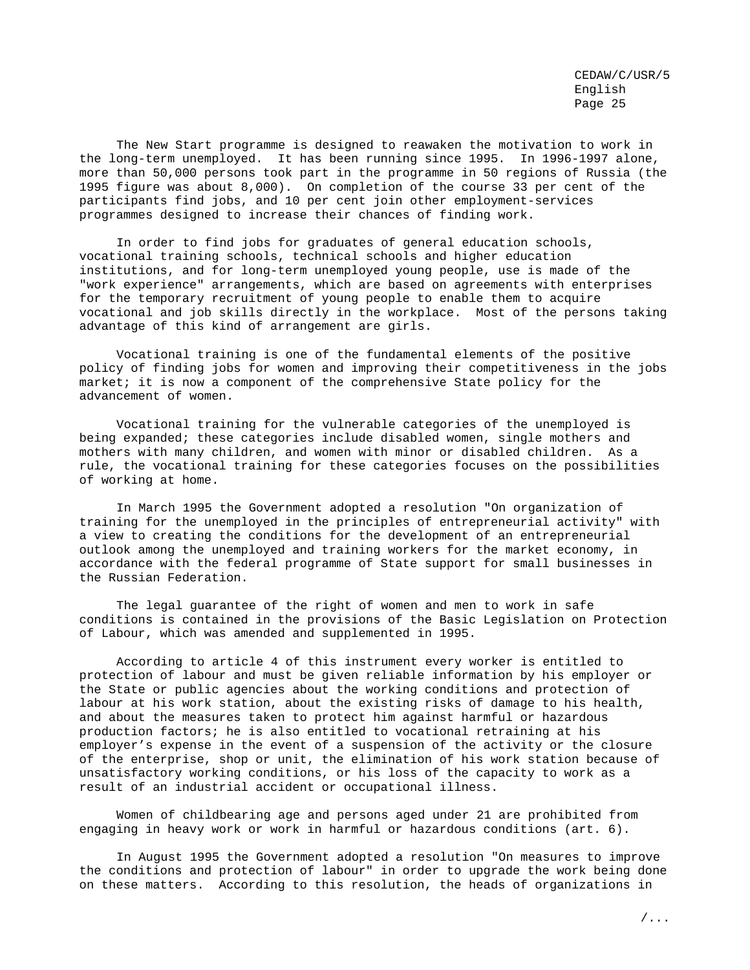The New Start programme is designed to reawaken the motivation to work in the long-term unemployed. It has been running since 1995. In 1996-1997 alone, more than 50,000 persons took part in the programme in 50 regions of Russia (the 1995 figure was about 8,000). On completion of the course 33 per cent of the participants find jobs, and 10 per cent join other employment-services programmes designed to increase their chances of finding work.

In order to find jobs for graduates of general education schools, vocational training schools, technical schools and higher education institutions, and for long-term unemployed young people, use is made of the "work experience" arrangements, which are based on agreements with enterprises for the temporary recruitment of young people to enable them to acquire vocational and job skills directly in the workplace. Most of the persons taking advantage of this kind of arrangement are girls.

Vocational training is one of the fundamental elements of the positive policy of finding jobs for women and improving their competitiveness in the jobs market; it is now a component of the comprehensive State policy for the advancement of women.

Vocational training for the vulnerable categories of the unemployed is being expanded; these categories include disabled women, single mothers and mothers with many children, and women with minor or disabled children. As a rule, the vocational training for these categories focuses on the possibilities of working at home.

In March 1995 the Government adopted a resolution "On organization of training for the unemployed in the principles of entrepreneurial activity" with a view to creating the conditions for the development of an entrepreneurial outlook among the unemployed and training workers for the market economy, in accordance with the federal programme of State support for small businesses in the Russian Federation.

The legal guarantee of the right of women and men to work in safe conditions is contained in the provisions of the Basic Legislation on Protection of Labour, which was amended and supplemented in 1995.

According to article 4 of this instrument every worker is entitled to protection of labour and must be given reliable information by his employer or the State or public agencies about the working conditions and protection of labour at his work station, about the existing risks of damage to his health, and about the measures taken to protect him against harmful or hazardous production factors; he is also entitled to vocational retraining at his employer's expense in the event of a suspension of the activity or the closure of the enterprise, shop or unit, the elimination of his work station because of unsatisfactory working conditions, or his loss of the capacity to work as a result of an industrial accident or occupational illness.

Women of childbearing age and persons aged under 21 are prohibited from engaging in heavy work or work in harmful or hazardous conditions (art. 6).

In August 1995 the Government adopted a resolution "On measures to improve the conditions and protection of labour" in order to upgrade the work being done on these matters. According to this resolution, the heads of organizations in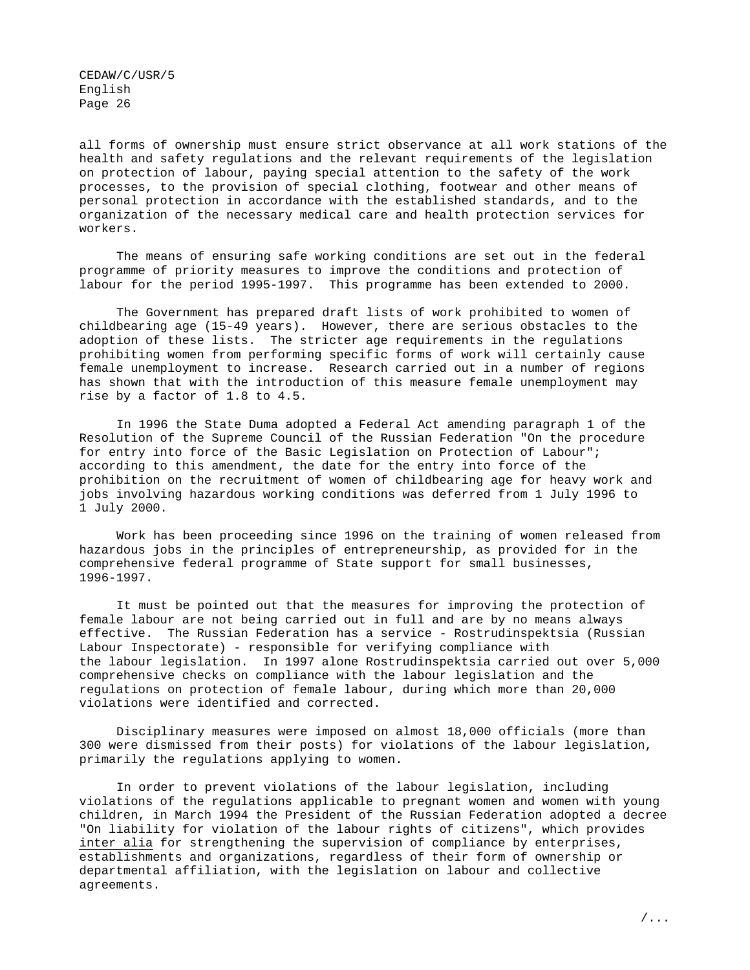all forms of ownership must ensure strict observance at all work stations of the health and safety regulations and the relevant requirements of the legislation on protection of labour, paying special attention to the safety of the work processes, to the provision of special clothing, footwear and other means of personal protection in accordance with the established standards, and to the organization of the necessary medical care and health protection services for workers.

The means of ensuring safe working conditions are set out in the federal programme of priority measures to improve the conditions and protection of labour for the period 1995-1997. This programme has been extended to 2000.

The Government has prepared draft lists of work prohibited to women of childbearing age (15-49 years). However, there are serious obstacles to the adoption of these lists. The stricter age requirements in the regulations prohibiting women from performing specific forms of work will certainly cause female unemployment to increase. Research carried out in a number of regions has shown that with the introduction of this measure female unemployment may rise by a factor of 1.8 to 4.5.

In 1996 the State Duma adopted a Federal Act amending paragraph 1 of the Resolution of the Supreme Council of the Russian Federation "On the procedure for entry into force of the Basic Legislation on Protection of Labour"; according to this amendment, the date for the entry into force of the prohibition on the recruitment of women of childbearing age for heavy work and jobs involving hazardous working conditions was deferred from 1 July 1996 to 1 July 2000.

Work has been proceeding since 1996 on the training of women released from hazardous jobs in the principles of entrepreneurship, as provided for in the comprehensive federal programme of State support for small businesses, 1996-1997.

It must be pointed out that the measures for improving the protection of female labour are not being carried out in full and are by no means always effective. The Russian Federation has a service - Rostrudinspektsia (Russian Labour Inspectorate) - responsible for verifying compliance with the labour legislation. In 1997 alone Rostrudinspektsia carried out over 5,000 comprehensive checks on compliance with the labour legislation and the regulations on protection of female labour, during which more than 20,000 violations were identified and corrected.

Disciplinary measures were imposed on almost 18,000 officials (more than 300 were dismissed from their posts) for violations of the labour legislation, primarily the regulations applying to women.

In order to prevent violations of the labour legislation, including violations of the regulations applicable to pregnant women and women with young children, in March 1994 the President of the Russian Federation adopted a decree "On liability for violation of the labour rights of citizens", which provides inter alia for strengthening the supervision of compliance by enterprises, establishments and organizations, regardless of their form of ownership or departmental affiliation, with the legislation on labour and collective agreements.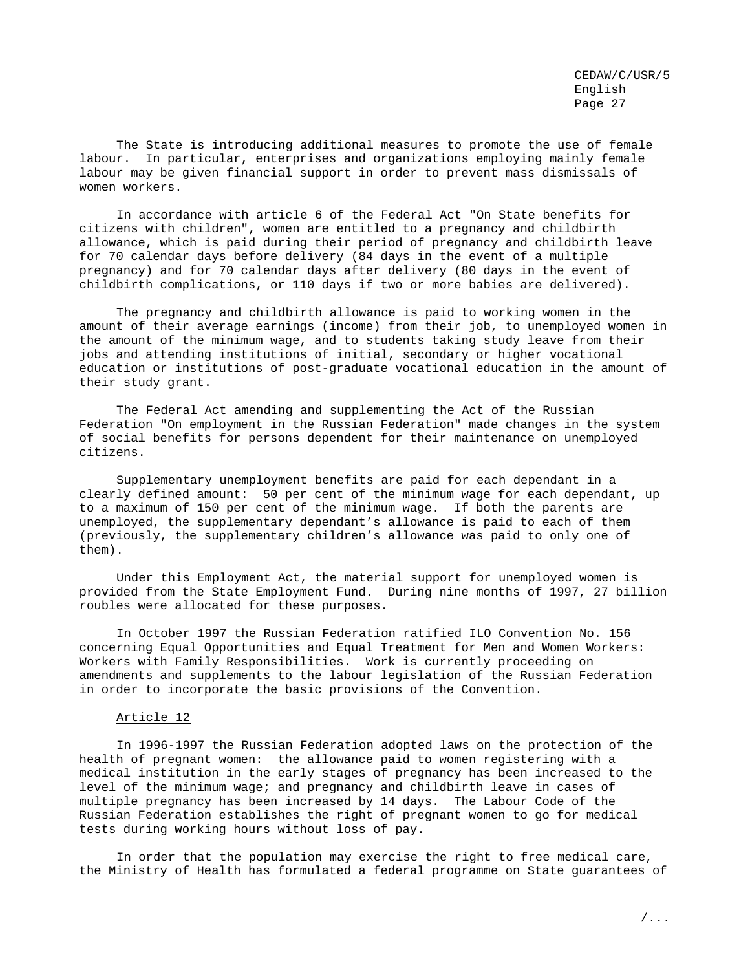The State is introducing additional measures to promote the use of female labour. In particular, enterprises and organizations employing mainly female labour may be given financial support in order to prevent mass dismissals of women workers.

In accordance with article 6 of the Federal Act "On State benefits for citizens with children", women are entitled to a pregnancy and childbirth allowance, which is paid during their period of pregnancy and childbirth leave for 70 calendar days before delivery (84 days in the event of a multiple pregnancy) and for 70 calendar days after delivery (80 days in the event of childbirth complications, or 110 days if two or more babies are delivered).

The pregnancy and childbirth allowance is paid to working women in the amount of their average earnings (income) from their job, to unemployed women in the amount of the minimum wage, and to students taking study leave from their jobs and attending institutions of initial, secondary or higher vocational education or institutions of post-graduate vocational education in the amount of their study grant.

The Federal Act amending and supplementing the Act of the Russian Federation "On employment in the Russian Federation" made changes in the system of social benefits for persons dependent for their maintenance on unemployed citizens.

Supplementary unemployment benefits are paid for each dependant in a clearly defined amount: 50 per cent of the minimum wage for each dependant, up to a maximum of 150 per cent of the minimum wage. If both the parents are unemployed, the supplementary dependant's allowance is paid to each of them (previously, the supplementary children's allowance was paid to only one of them).

Under this Employment Act, the material support for unemployed women is provided from the State Employment Fund. During nine months of 1997, 27 billion roubles were allocated for these purposes.

In October 1997 the Russian Federation ratified ILO Convention No. 156 concerning Equal Opportunities and Equal Treatment for Men and Women Workers: Workers with Family Responsibilities. Work is currently proceeding on amendments and supplements to the labour legislation of the Russian Federation in order to incorporate the basic provisions of the Convention.

#### Article 12

In 1996-1997 the Russian Federation adopted laws on the protection of the health of pregnant women: the allowance paid to women registering with a medical institution in the early stages of pregnancy has been increased to the level of the minimum wage; and pregnancy and childbirth leave in cases of multiple pregnancy has been increased by 14 days. The Labour Code of the Russian Federation establishes the right of pregnant women to go for medical tests during working hours without loss of pay.

In order that the population may exercise the right to free medical care, the Ministry of Health has formulated a federal programme on State guarantees of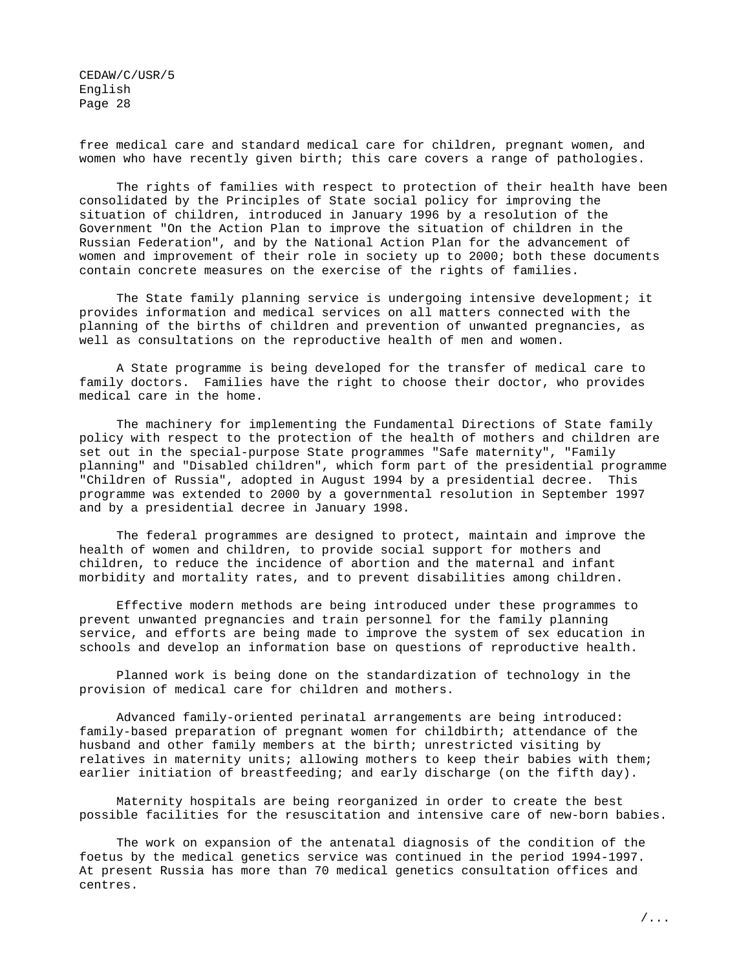free medical care and standard medical care for children, pregnant women, and women who have recently given birth; this care covers a range of pathologies.

The rights of families with respect to protection of their health have been consolidated by the Principles of State social policy for improving the situation of children, introduced in January 1996 by a resolution of the Government "On the Action Plan to improve the situation of children in the Russian Federation", and by the National Action Plan for the advancement of women and improvement of their role in society up to 2000; both these documents contain concrete measures on the exercise of the rights of families.

The State family planning service is undergoing intensive development; it provides information and medical services on all matters connected with the planning of the births of children and prevention of unwanted pregnancies, as well as consultations on the reproductive health of men and women.

A State programme is being developed for the transfer of medical care to family doctors. Families have the right to choose their doctor, who provides medical care in the home.

The machinery for implementing the Fundamental Directions of State family policy with respect to the protection of the health of mothers and children are set out in the special-purpose State programmes "Safe maternity", "Family planning" and "Disabled children", which form part of the presidential programme "Children of Russia", adopted in August 1994 by a presidential decree. This programme was extended to 2000 by a governmental resolution in September 1997 and by a presidential decree in January 1998.

The federal programmes are designed to protect, maintain and improve the health of women and children, to provide social support for mothers and children, to reduce the incidence of abortion and the maternal and infant morbidity and mortality rates, and to prevent disabilities among children.

Effective modern methods are being introduced under these programmes to prevent unwanted pregnancies and train personnel for the family planning service, and efforts are being made to improve the system of sex education in schools and develop an information base on questions of reproductive health.

Planned work is being done on the standardization of technology in the provision of medical care for children and mothers.

Advanced family-oriented perinatal arrangements are being introduced: family-based preparation of pregnant women for childbirth; attendance of the husband and other family members at the birth; unrestricted visiting by relatives in maternity units; allowing mothers to keep their babies with them; earlier initiation of breastfeeding; and early discharge (on the fifth day).

Maternity hospitals are being reorganized in order to create the best possible facilities for the resuscitation and intensive care of new-born babies.

The work on expansion of the antenatal diagnosis of the condition of the foetus by the medical genetics service was continued in the period 1994-1997. At present Russia has more than 70 medical genetics consultation offices and centres.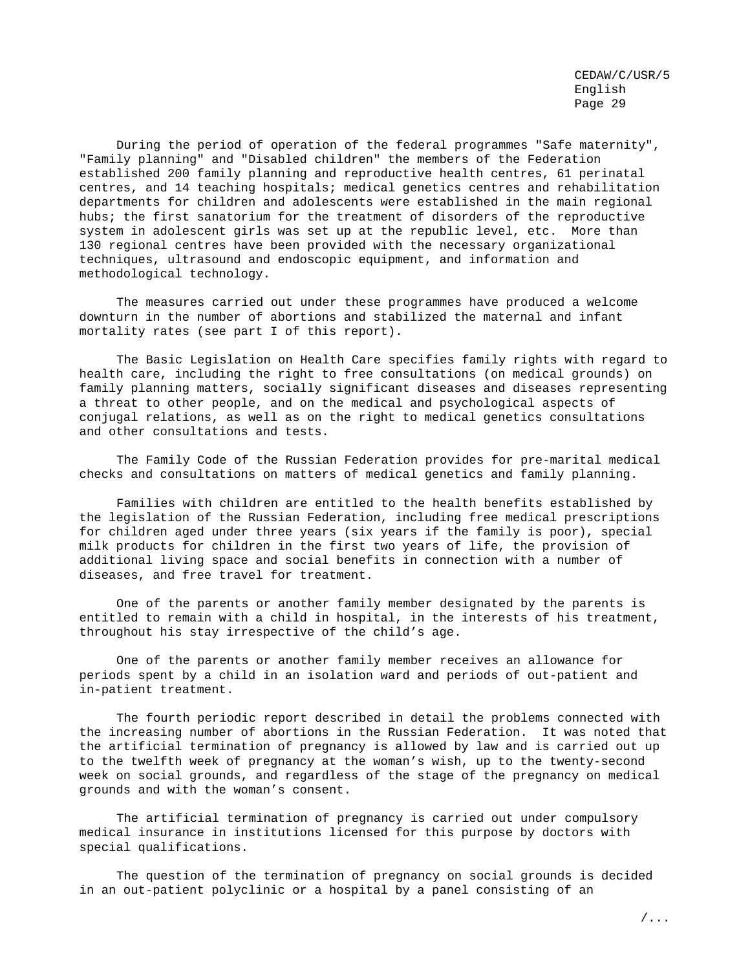During the period of operation of the federal programmes "Safe maternity", "Family planning" and "Disabled children" the members of the Federation established 200 family planning and reproductive health centres, 61 perinatal centres, and 14 teaching hospitals; medical genetics centres and rehabilitation departments for children and adolescents were established in the main regional hubs; the first sanatorium for the treatment of disorders of the reproductive system in adolescent girls was set up at the republic level, etc. More than 130 regional centres have been provided with the necessary organizational techniques, ultrasound and endoscopic equipment, and information and methodological technology.

The measures carried out under these programmes have produced a welcome downturn in the number of abortions and stabilized the maternal and infant mortality rates (see part I of this report).

The Basic Legislation on Health Care specifies family rights with regard to health care, including the right to free consultations (on medical grounds) on family planning matters, socially significant diseases and diseases representing a threat to other people, and on the medical and psychological aspects of conjugal relations, as well as on the right to medical genetics consultations and other consultations and tests.

The Family Code of the Russian Federation provides for pre-marital medical checks and consultations on matters of medical genetics and family planning.

Families with children are entitled to the health benefits established by the legislation of the Russian Federation, including free medical prescriptions for children aged under three years (six years if the family is poor), special milk products for children in the first two years of life, the provision of additional living space and social benefits in connection with a number of diseases, and free travel for treatment.

One of the parents or another family member designated by the parents is entitled to remain with a child in hospital, in the interests of his treatment, throughout his stay irrespective of the child's age.

One of the parents or another family member receives an allowance for periods spent by a child in an isolation ward and periods of out-patient and in-patient treatment.

The fourth periodic report described in detail the problems connected with the increasing number of abortions in the Russian Federation. It was noted that the artificial termination of pregnancy is allowed by law and is carried out up to the twelfth week of pregnancy at the woman's wish, up to the twenty-second week on social grounds, and regardless of the stage of the pregnancy on medical grounds and with the woman's consent.

The artificial termination of pregnancy is carried out under compulsory medical insurance in institutions licensed for this purpose by doctors with special qualifications.

The question of the termination of pregnancy on social grounds is decided in an out-patient polyclinic or a hospital by a panel consisting of an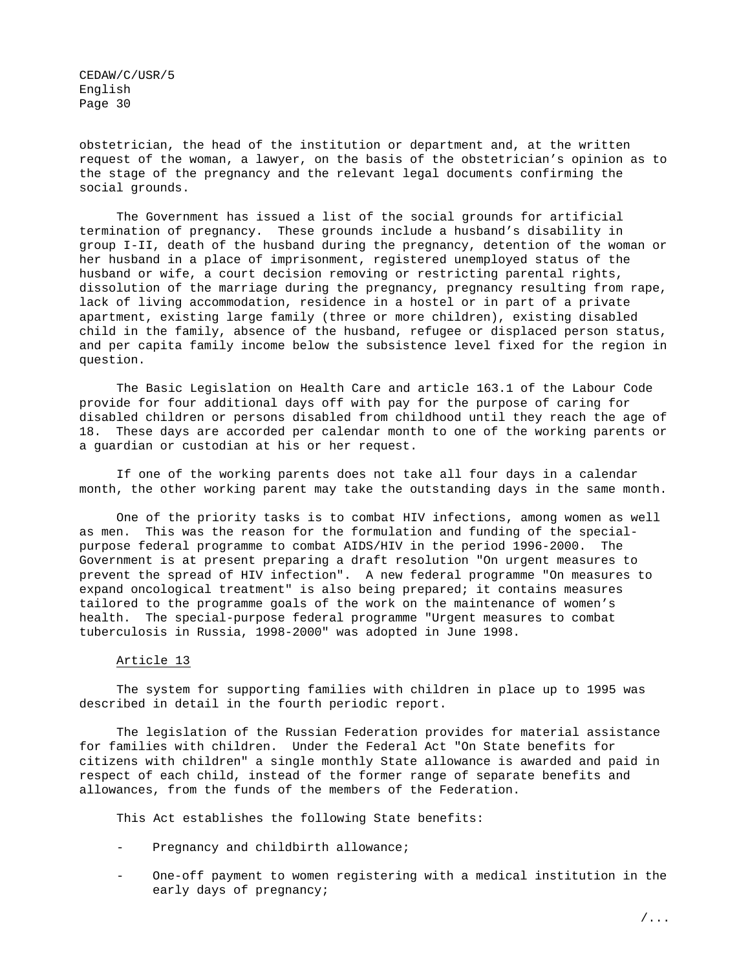obstetrician, the head of the institution or department and, at the written request of the woman, a lawyer, on the basis of the obstetrician's opinion as to the stage of the pregnancy and the relevant legal documents confirming the social grounds.

The Government has issued a list of the social grounds for artificial termination of pregnancy. These grounds include a husband's disability in group I-II, death of the husband during the pregnancy, detention of the woman or her husband in a place of imprisonment, registered unemployed status of the husband or wife, a court decision removing or restricting parental rights, dissolution of the marriage during the pregnancy, pregnancy resulting from rape, lack of living accommodation, residence in a hostel or in part of a private apartment, existing large family (three or more children), existing disabled child in the family, absence of the husband, refugee or displaced person status, and per capita family income below the subsistence level fixed for the region in question.

The Basic Legislation on Health Care and article 163.1 of the Labour Code provide for four additional days off with pay for the purpose of caring for disabled children or persons disabled from childhood until they reach the age of 18. These days are accorded per calendar month to one of the working parents or a guardian or custodian at his or her request.

If one of the working parents does not take all four days in a calendar month, the other working parent may take the outstanding days in the same month.

One of the priority tasks is to combat HIV infections, among women as well as men. This was the reason for the formulation and funding of the specialpurpose federal programme to combat AIDS/HIV in the period 1996-2000. The Government is at present preparing a draft resolution "On urgent measures to prevent the spread of HIV infection". A new federal programme "On measures to expand oncological treatment" is also being prepared; it contains measures tailored to the programme goals of the work on the maintenance of women's health. The special-purpose federal programme "Urgent measures to combat tuberculosis in Russia, 1998-2000" was adopted in June 1998.

#### Article 13

The system for supporting families with children in place up to 1995 was described in detail in the fourth periodic report.

The legislation of the Russian Federation provides for material assistance for families with children. Under the Federal Act "On State benefits for citizens with children" a single monthly State allowance is awarded and paid in respect of each child, instead of the former range of separate benefits and allowances, from the funds of the members of the Federation.

This Act establishes the following State benefits:

- Pregnancy and childbirth allowance;
- One-off payment to women registering with a medical institution in the early days of pregnancy;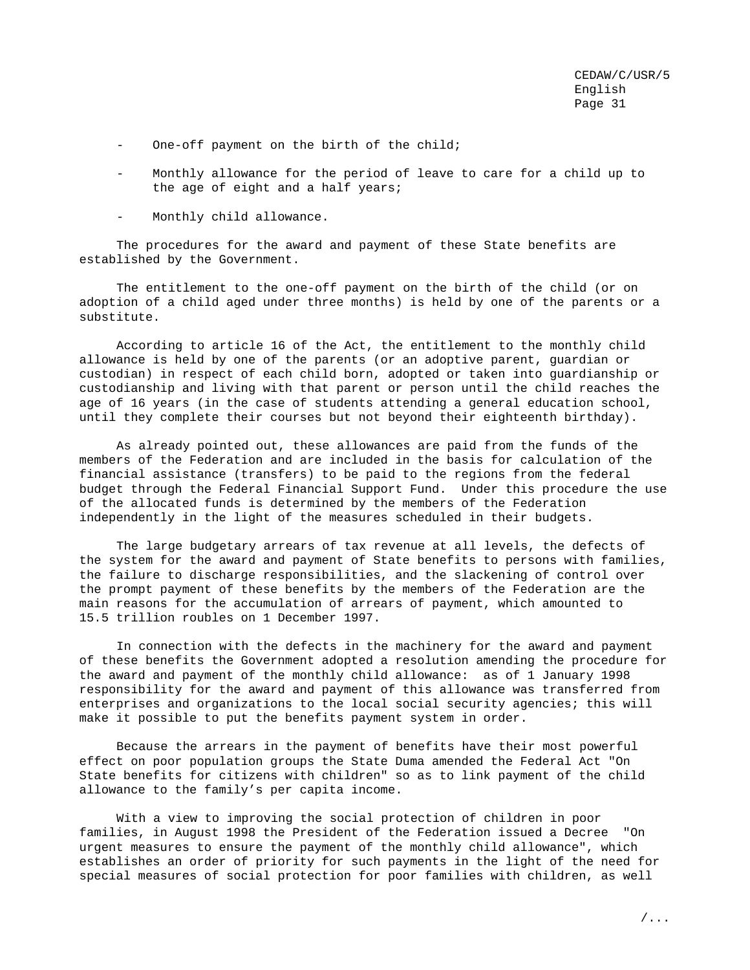- One-off payment on the birth of the child;
- Monthly allowance for the period of leave to care for a child up to the age of eight and a half years;
- Monthly child allowance.

The procedures for the award and payment of these State benefits are established by the Government.

The entitlement to the one-off payment on the birth of the child (or on adoption of a child aged under three months) is held by one of the parents or a substitute.

According to article 16 of the Act, the entitlement to the monthly child allowance is held by one of the parents (or an adoptive parent, guardian or custodian) in respect of each child born, adopted or taken into guardianship or custodianship and living with that parent or person until the child reaches the age of 16 years (in the case of students attending a general education school, until they complete their courses but not beyond their eighteenth birthday).

As already pointed out, these allowances are paid from the funds of the members of the Federation and are included in the basis for calculation of the financial assistance (transfers) to be paid to the regions from the federal budget through the Federal Financial Support Fund. Under this procedure the use of the allocated funds is determined by the members of the Federation independently in the light of the measures scheduled in their budgets.

The large budgetary arrears of tax revenue at all levels, the defects of the system for the award and payment of State benefits to persons with families, the failure to discharge responsibilities, and the slackening of control over the prompt payment of these benefits by the members of the Federation are the main reasons for the accumulation of arrears of payment, which amounted to 15.5 trillion roubles on 1 December 1997.

In connection with the defects in the machinery for the award and payment of these benefits the Government adopted a resolution amending the procedure for the award and payment of the monthly child allowance: as of 1 January 1998 responsibility for the award and payment of this allowance was transferred from enterprises and organizations to the local social security agencies; this will make it possible to put the benefits payment system in order.

Because the arrears in the payment of benefits have their most powerful effect on poor population groups the State Duma amended the Federal Act "On State benefits for citizens with children" so as to link payment of the child allowance to the family's per capita income.

With a view to improving the social protection of children in poor families, in August 1998 the President of the Federation issued a Decree "On urgent measures to ensure the payment of the monthly child allowance", which establishes an order of priority for such payments in the light of the need for special measures of social protection for poor families with children, as well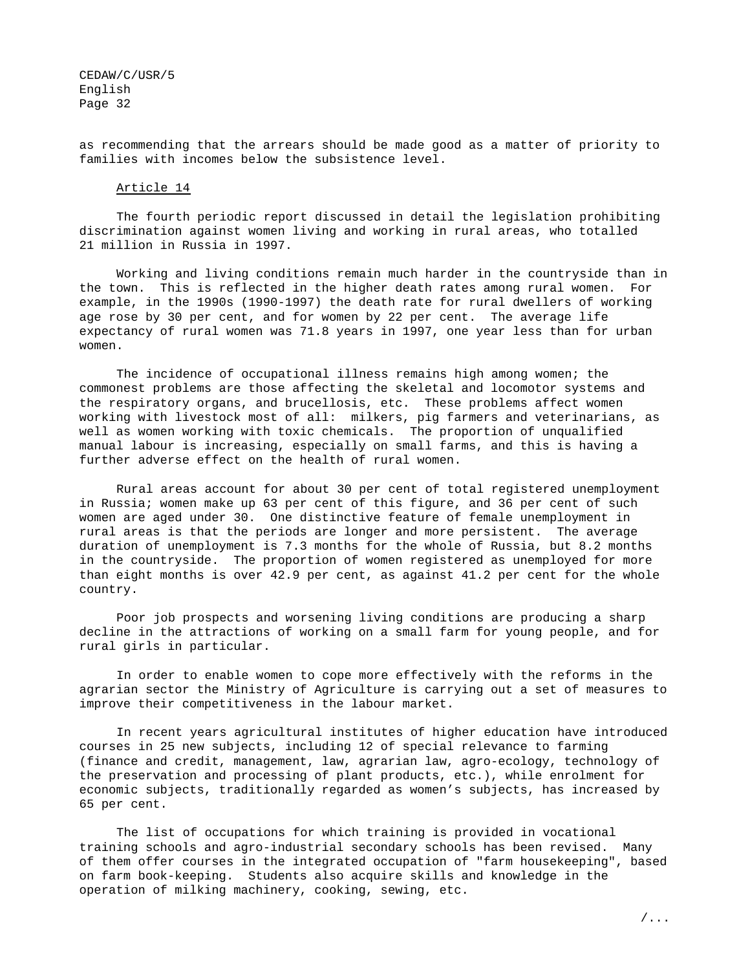as recommending that the arrears should be made good as a matter of priority to families with incomes below the subsistence level.

## Article 14

The fourth periodic report discussed in detail the legislation prohibiting discrimination against women living and working in rural areas, who totalled 21 million in Russia in 1997.

Working and living conditions remain much harder in the countryside than in the town. This is reflected in the higher death rates among rural women. For example, in the 1990s (1990-1997) the death rate for rural dwellers of working age rose by 30 per cent, and for women by 22 per cent. The average life expectancy of rural women was 71.8 years in 1997, one year less than for urban women.

The incidence of occupational illness remains high among women; the commonest problems are those affecting the skeletal and locomotor systems and the respiratory organs, and brucellosis, etc. These problems affect women working with livestock most of all: milkers, pig farmers and veterinarians, as well as women working with toxic chemicals. The proportion of unqualified manual labour is increasing, especially on small farms, and this is having a further adverse effect on the health of rural women.

Rural areas account for about 30 per cent of total registered unemployment in Russia; women make up 63 per cent of this figure, and 36 per cent of such women are aged under 30. One distinctive feature of female unemployment in rural areas is that the periods are longer and more persistent. The average duration of unemployment is 7.3 months for the whole of Russia, but 8.2 months in the countryside. The proportion of women registered as unemployed for more than eight months is over 42.9 per cent, as against 41.2 per cent for the whole country.

Poor job prospects and worsening living conditions are producing a sharp decline in the attractions of working on a small farm for young people, and for rural girls in particular.

In order to enable women to cope more effectively with the reforms in the agrarian sector the Ministry of Agriculture is carrying out a set of measures to improve their competitiveness in the labour market.

In recent years agricultural institutes of higher education have introduced courses in 25 new subjects, including 12 of special relevance to farming (finance and credit, management, law, agrarian law, agro-ecology, technology of the preservation and processing of plant products, etc.), while enrolment for economic subjects, traditionally regarded as women's subjects, has increased by 65 per cent.

The list of occupations for which training is provided in vocational training schools and agro-industrial secondary schools has been revised. Many of them offer courses in the integrated occupation of "farm housekeeping", based on farm book-keeping. Students also acquire skills and knowledge in the operation of milking machinery, cooking, sewing, etc.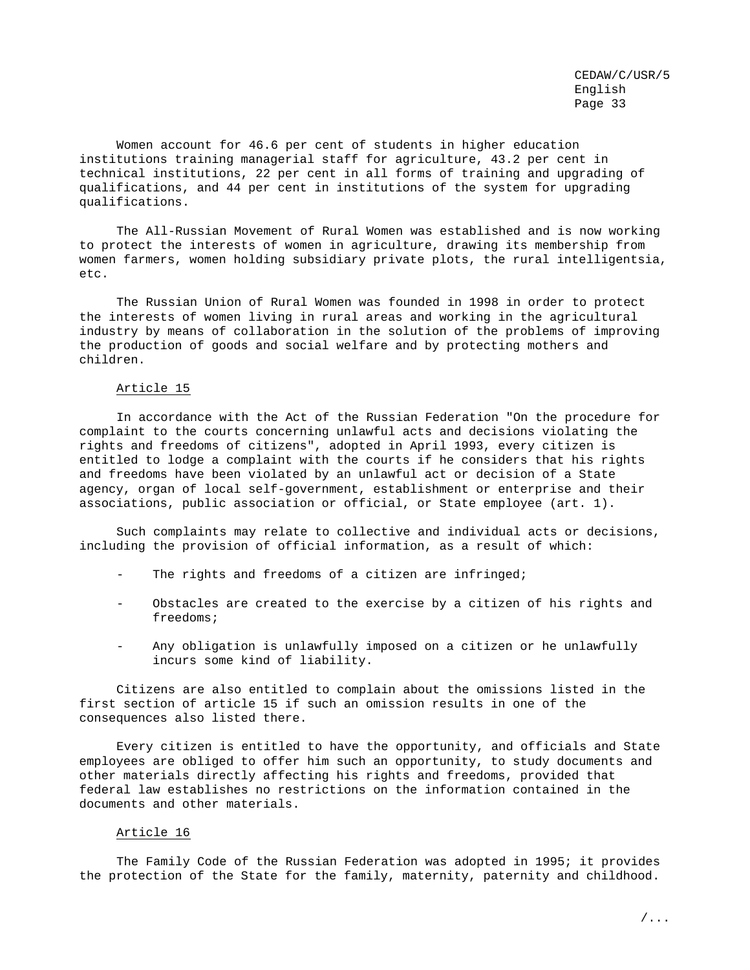Women account for 46.6 per cent of students in higher education institutions training managerial staff for agriculture, 43.2 per cent in technical institutions, 22 per cent in all forms of training and upgrading of qualifications, and 44 per cent in institutions of the system for upgrading qualifications.

The All-Russian Movement of Rural Women was established and is now working to protect the interests of women in agriculture, drawing its membership from women farmers, women holding subsidiary private plots, the rural intelligentsia,  $A + C$ 

The Russian Union of Rural Women was founded in 1998 in order to protect the interests of women living in rural areas and working in the agricultural industry by means of collaboration in the solution of the problems of improving the production of goods and social welfare and by protecting mothers and children.

#### Article 15

In accordance with the Act of the Russian Federation "On the procedure for complaint to the courts concerning unlawful acts and decisions violating the rights and freedoms of citizens", adopted in April 1993, every citizen is entitled to lodge a complaint with the courts if he considers that his rights and freedoms have been violated by an unlawful act or decision of a State agency, organ of local self-government, establishment or enterprise and their associations, public association or official, or State employee (art. 1).

Such complaints may relate to collective and individual acts or decisions, including the provision of official information, as a result of which:

- The rights and freedoms of a citizen are infringed;
- Obstacles are created to the exercise by a citizen of his rights and freedoms;
- Any obligation is unlawfully imposed on a citizen or he unlawfully incurs some kind of liability.

Citizens are also entitled to complain about the omissions listed in the first section of article 15 if such an omission results in one of the consequences also listed there.

Every citizen is entitled to have the opportunity, and officials and State employees are obliged to offer him such an opportunity, to study documents and other materials directly affecting his rights and freedoms, provided that federal law establishes no restrictions on the information contained in the documents and other materials.

#### Article 16

The Family Code of the Russian Federation was adopted in 1995; it provides the protection of the State for the family, maternity, paternity and childhood.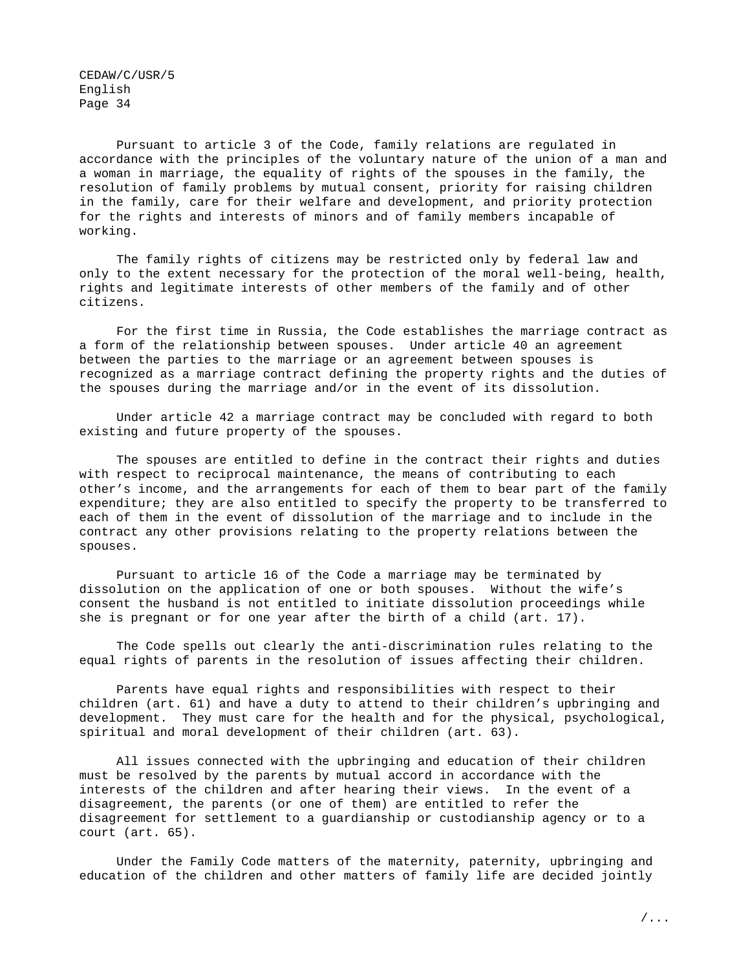Pursuant to article 3 of the Code, family relations are regulated in accordance with the principles of the voluntary nature of the union of a man and a woman in marriage, the equality of rights of the spouses in the family, the resolution of family problems by mutual consent, priority for raising children in the family, care for their welfare and development, and priority protection for the rights and interests of minors and of family members incapable of working.

The family rights of citizens may be restricted only by federal law and only to the extent necessary for the protection of the moral well-being, health, rights and legitimate interests of other members of the family and of other citizens.

For the first time in Russia, the Code establishes the marriage contract as a form of the relationship between spouses. Under article 40 an agreement between the parties to the marriage or an agreement between spouses is recognized as a marriage contract defining the property rights and the duties of the spouses during the marriage and/or in the event of its dissolution.

Under article 42 a marriage contract may be concluded with regard to both existing and future property of the spouses.

The spouses are entitled to define in the contract their rights and duties with respect to reciprocal maintenance, the means of contributing to each other's income, and the arrangements for each of them to bear part of the family expenditure; they are also entitled to specify the property to be transferred to each of them in the event of dissolution of the marriage and to include in the contract any other provisions relating to the property relations between the spouses.

Pursuant to article 16 of the Code a marriage may be terminated by dissolution on the application of one or both spouses. Without the wife's consent the husband is not entitled to initiate dissolution proceedings while she is pregnant or for one year after the birth of a child (art. 17).

The Code spells out clearly the anti-discrimination rules relating to the equal rights of parents in the resolution of issues affecting their children.

Parents have equal rights and responsibilities with respect to their children (art. 61) and have a duty to attend to their children's upbringing and development. They must care for the health and for the physical, psychological, spiritual and moral development of their children (art. 63).

All issues connected with the upbringing and education of their children must be resolved by the parents by mutual accord in accordance with the interests of the children and after hearing their views. In the event of a disagreement, the parents (or one of them) are entitled to refer the disagreement for settlement to a guardianship or custodianship agency or to a court (art. 65).

Under the Family Code matters of the maternity, paternity, upbringing and education of the children and other matters of family life are decided jointly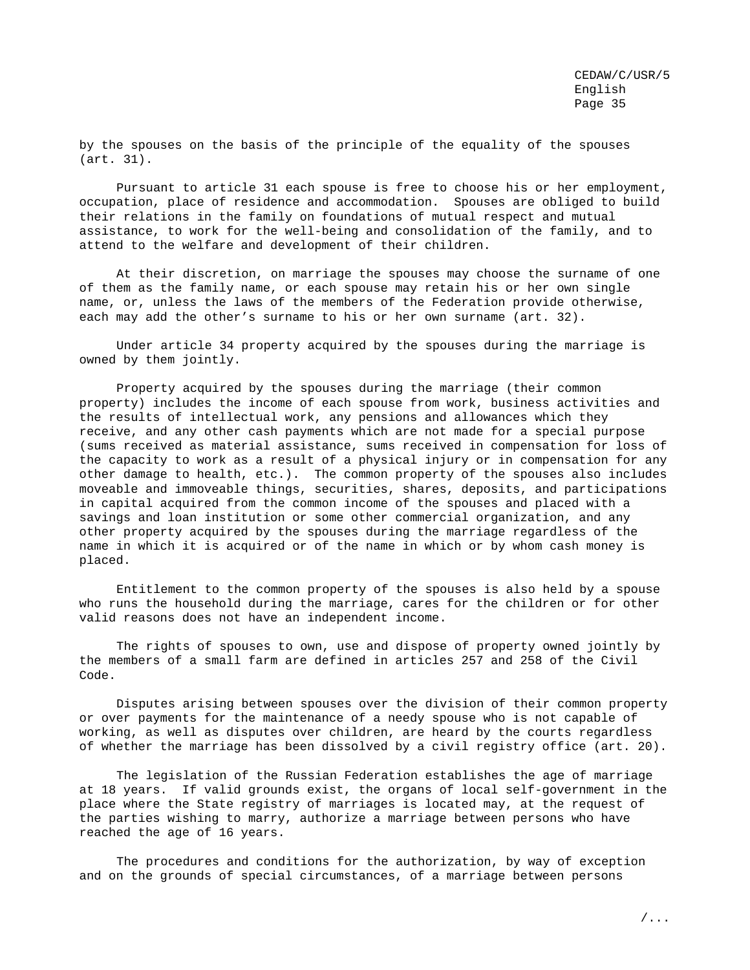by the spouses on the basis of the principle of the equality of the spouses (art. 31).

Pursuant to article 31 each spouse is free to choose his or her employment, occupation, place of residence and accommodation. Spouses are obliged to build their relations in the family on foundations of mutual respect and mutual assistance, to work for the well-being and consolidation of the family, and to attend to the welfare and development of their children.

At their discretion, on marriage the spouses may choose the surname of one of them as the family name, or each spouse may retain his or her own single name, or, unless the laws of the members of the Federation provide otherwise, each may add the other's surname to his or her own surname (art. 32).

Under article 34 property acquired by the spouses during the marriage is owned by them jointly.

Property acquired by the spouses during the marriage (their common property) includes the income of each spouse from work, business activities and the results of intellectual work, any pensions and allowances which they receive, and any other cash payments which are not made for a special purpose (sums received as material assistance, sums received in compensation for loss of the capacity to work as a result of a physical injury or in compensation for any other damage to health, etc.). The common property of the spouses also includes moveable and immoveable things, securities, shares, deposits, and participations in capital acquired from the common income of the spouses and placed with a savings and loan institution or some other commercial organization, and any other property acquired by the spouses during the marriage regardless of the name in which it is acquired or of the name in which or by whom cash money is placed.

Entitlement to the common property of the spouses is also held by a spouse who runs the household during the marriage, cares for the children or for other valid reasons does not have an independent income.

The rights of spouses to own, use and dispose of property owned jointly by the members of a small farm are defined in articles 257 and 258 of the Civil Code.

Disputes arising between spouses over the division of their common property or over payments for the maintenance of a needy spouse who is not capable of working, as well as disputes over children, are heard by the courts regardless of whether the marriage has been dissolved by a civil registry office (art. 20).

The legislation of the Russian Federation establishes the age of marriage at 18 years. If valid grounds exist, the organs of local self-government in the place where the State registry of marriages is located may, at the request of the parties wishing to marry, authorize a marriage between persons who have reached the age of 16 years.

The procedures and conditions for the authorization, by way of exception and on the grounds of special circumstances, of a marriage between persons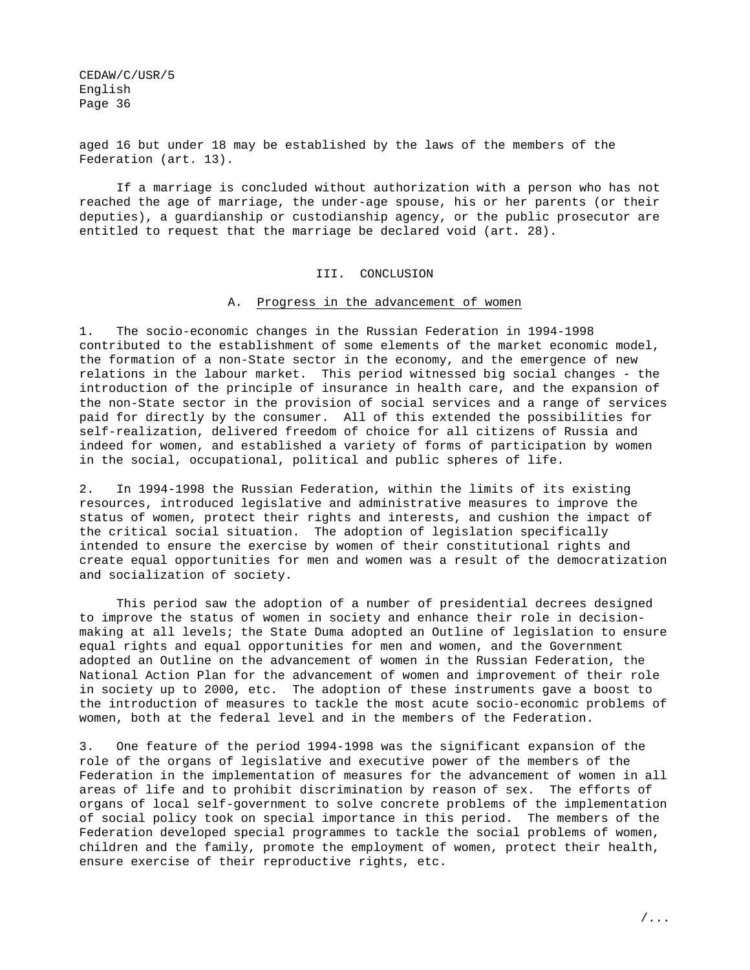aged 16 but under 18 may be established by the laws of the members of the Federation (art. 13).

If a marriage is concluded without authorization with a person who has not reached the age of marriage, the under-age spouse, his or her parents (or their deputies), a guardianship or custodianship agency, or the public prosecutor are entitled to request that the marriage be declared void (art. 28).

#### III. CONCLUSION

## A. Progress in the advancement of women

1. The socio-economic changes in the Russian Federation in 1994-1998 contributed to the establishment of some elements of the market economic model, the formation of a non-State sector in the economy, and the emergence of new relations in the labour market. This period witnessed big social changes - the introduction of the principle of insurance in health care, and the expansion of the non-State sector in the provision of social services and a range of services paid for directly by the consumer. All of this extended the possibilities for self-realization, delivered freedom of choice for all citizens of Russia and indeed for women, and established a variety of forms of participation by women in the social, occupational, political and public spheres of life.

2. In 1994-1998 the Russian Federation, within the limits of its existing resources, introduced legislative and administrative measures to improve the status of women, protect their rights and interests, and cushion the impact of the critical social situation. The adoption of legislation specifically intended to ensure the exercise by women of their constitutional rights and create equal opportunities for men and women was a result of the democratization and socialization of society.

This period saw the adoption of a number of presidential decrees designed to improve the status of women in society and enhance their role in decisionmaking at all levels; the State Duma adopted an Outline of legislation to ensure equal rights and equal opportunities for men and women, and the Government adopted an Outline on the advancement of women in the Russian Federation, the National Action Plan for the advancement of women and improvement of their role in society up to 2000, etc. The adoption of these instruments gave a boost to the introduction of measures to tackle the most acute socio-economic problems of women, both at the federal level and in the members of the Federation.

3. One feature of the period 1994-1998 was the significant expansion of the role of the organs of legislative and executive power of the members of the Federation in the implementation of measures for the advancement of women in all areas of life and to prohibit discrimination by reason of sex. The efforts of organs of local self-government to solve concrete problems of the implementation of social policy took on special importance in this period. The members of the Federation developed special programmes to tackle the social problems of women, children and the family, promote the employment of women, protect their health, ensure exercise of their reproductive rights, etc.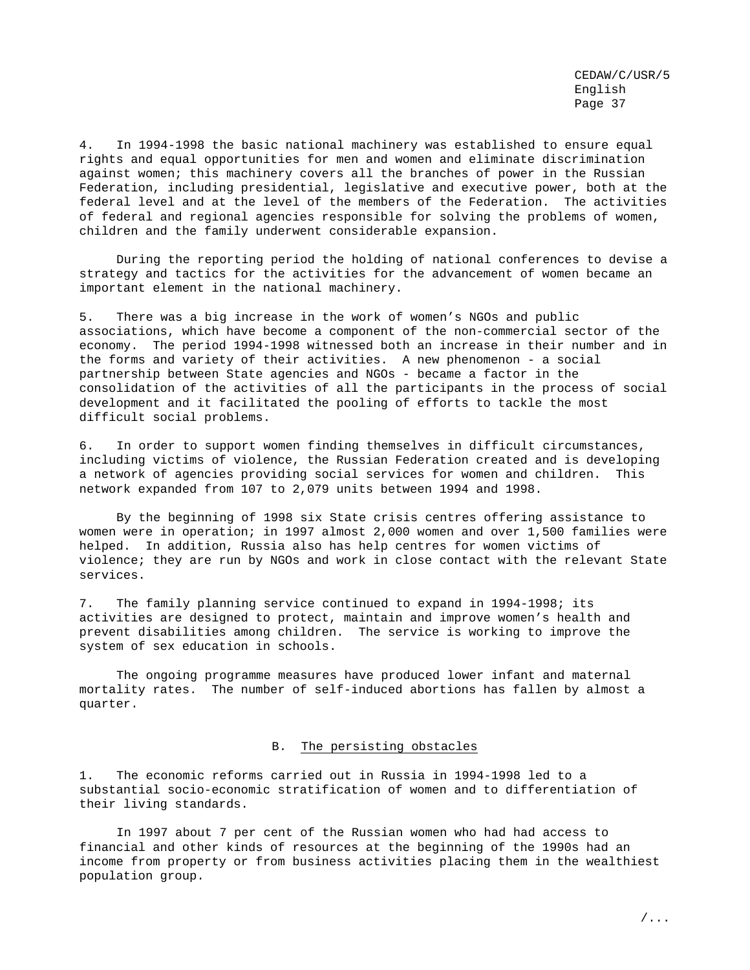4. In 1994-1998 the basic national machinery was established to ensure equal rights and equal opportunities for men and women and eliminate discrimination against women; this machinery covers all the branches of power in the Russian Federation, including presidential, legislative and executive power, both at the federal level and at the level of the members of the Federation. The activities of federal and regional agencies responsible for solving the problems of women, children and the family underwent considerable expansion.

During the reporting period the holding of national conferences to devise a strategy and tactics for the activities for the advancement of women became an important element in the national machinery.

5. There was a big increase in the work of women's NGOs and public associations, which have become a component of the non-commercial sector of the economy. The period 1994-1998 witnessed both an increase in their number and in the forms and variety of their activities. A new phenomenon - a social partnership between State agencies and NGOs - became a factor in the consolidation of the activities of all the participants in the process of social development and it facilitated the pooling of efforts to tackle the most difficult social problems.

6. In order to support women finding themselves in difficult circumstances, including victims of violence, the Russian Federation created and is developing a network of agencies providing social services for women and children. This network expanded from 107 to 2,079 units between 1994 and 1998.

By the beginning of 1998 six State crisis centres offering assistance to women were in operation; in 1997 almost 2,000 women and over 1,500 families were helped. In addition, Russia also has help centres for women victims of violence; they are run by NGOs and work in close contact with the relevant State services.

7. The family planning service continued to expand in 1994-1998; its activities are designed to protect, maintain and improve women's health and prevent disabilities among children. The service is working to improve the system of sex education in schools.

The ongoing programme measures have produced lower infant and maternal mortality rates. The number of self-induced abortions has fallen by almost a quarter.

## B. The persisting obstacles

1. The economic reforms carried out in Russia in 1994-1998 led to a substantial socio-economic stratification of women and to differentiation of their living standards.

In 1997 about 7 per cent of the Russian women who had had access to financial and other kinds of resources at the beginning of the 1990s had an income from property or from business activities placing them in the wealthiest population group.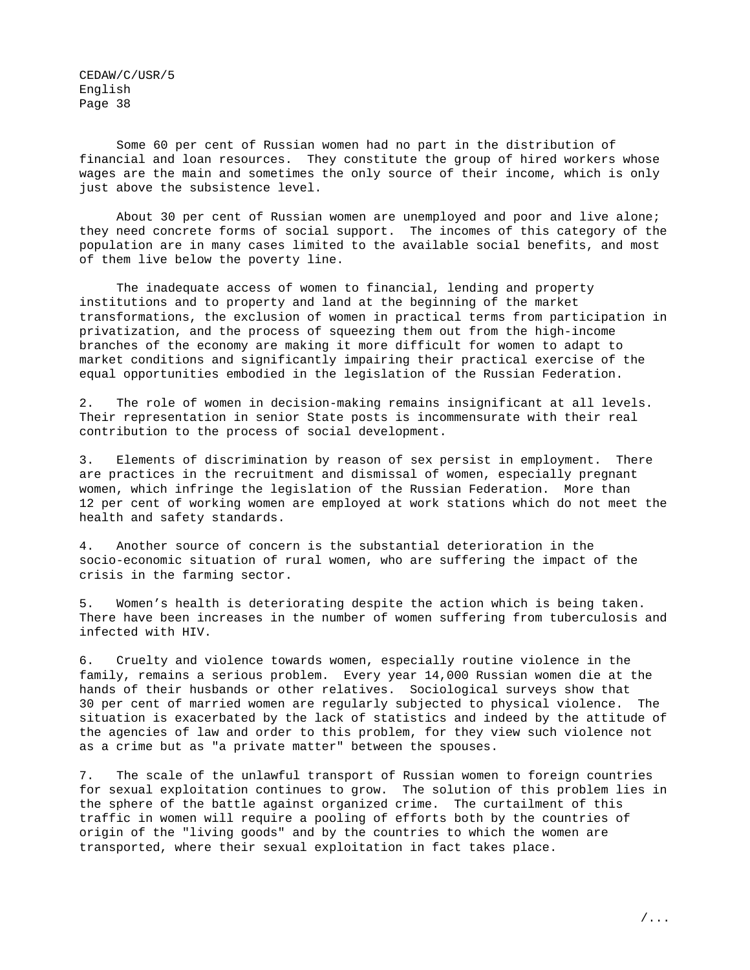Some 60 per cent of Russian women had no part in the distribution of financial and loan resources. They constitute the group of hired workers whose wages are the main and sometimes the only source of their income, which is only just above the subsistence level.

About 30 per cent of Russian women are unemployed and poor and live alone; they need concrete forms of social support. The incomes of this category of the population are in many cases limited to the available social benefits, and most of them live below the poverty line.

The inadequate access of women to financial, lending and property institutions and to property and land at the beginning of the market transformations, the exclusion of women in practical terms from participation in privatization, and the process of squeezing them out from the high-income branches of the economy are making it more difficult for women to adapt to market conditions and significantly impairing their practical exercise of the equal opportunities embodied in the legislation of the Russian Federation.

2. The role of women in decision-making remains insignificant at all levels. Their representation in senior State posts is incommensurate with their real contribution to the process of social development.

3. Elements of discrimination by reason of sex persist in employment. There are practices in the recruitment and dismissal of women, especially pregnant women, which infringe the legislation of the Russian Federation. More than 12 per cent of working women are employed at work stations which do not meet the health and safety standards.

4. Another source of concern is the substantial deterioration in the socio-economic situation of rural women, who are suffering the impact of the crisis in the farming sector.

5. Women's health is deteriorating despite the action which is being taken. There have been increases in the number of women suffering from tuberculosis and infected with HIV.

6. Cruelty and violence towards women, especially routine violence in the family, remains a serious problem. Every year 14,000 Russian women die at the hands of their husbands or other relatives. Sociological surveys show that 30 per cent of married women are regularly subjected to physical violence. The situation is exacerbated by the lack of statistics and indeed by the attitude of the agencies of law and order to this problem, for they view such violence not as a crime but as "a private matter" between the spouses.

7. The scale of the unlawful transport of Russian women to foreign countries for sexual exploitation continues to grow. The solution of this problem lies in the sphere of the battle against organized crime. The curtailment of this traffic in women will require a pooling of efforts both by the countries of origin of the "living goods" and by the countries to which the women are transported, where their sexual exploitation in fact takes place.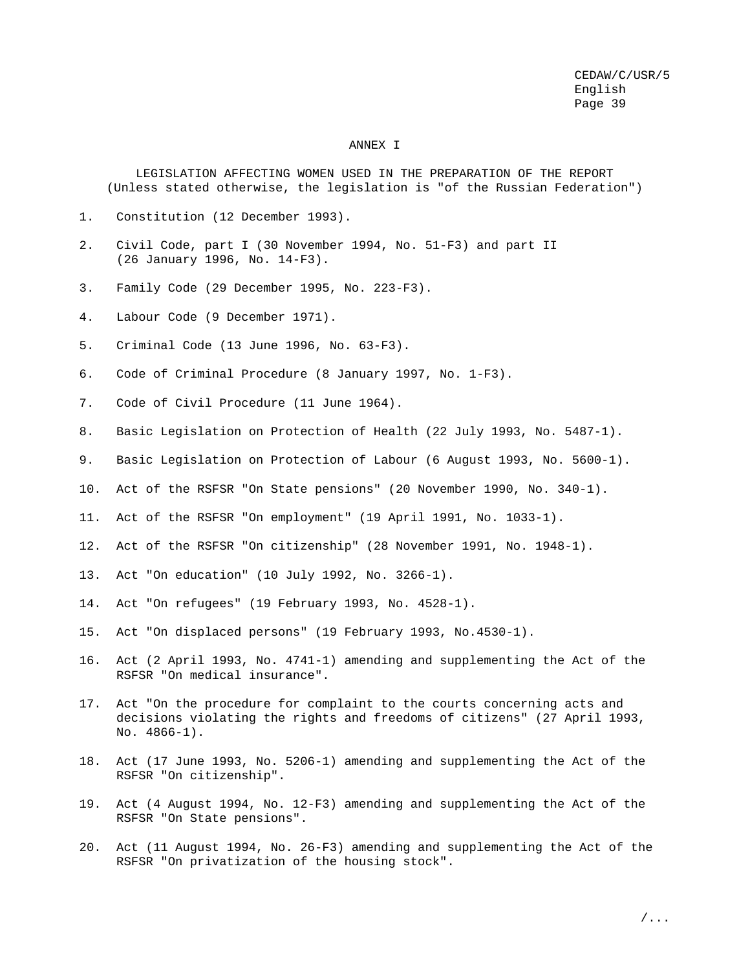#### ANNEX I

LEGISLATION AFFECTING WOMEN USED IN THE PREPARATION OF THE REPORT (Unless stated otherwise, the legislation is "of the Russian Federation")

- 1. Constitution (12 December 1993).
- 2. Civil Code, part I (30 November 1994, No. 51-F3) and part II (26 January 1996, No. 14-F3).
- 3. Family Code (29 December 1995, No. 223-F3).
- 4. Labour Code (9 December 1971).
- 5. Criminal Code (13 June 1996, No. 63-F3).
- 6. Code of Criminal Procedure (8 January 1997, No. 1-F3).
- 7. Code of Civil Procedure (11 June 1964).
- 8. Basic Legislation on Protection of Health (22 July 1993, No. 5487-1).
- 9. Basic Legislation on Protection of Labour (6 August 1993, No. 5600-1).
- 10. Act of the RSFSR "On State pensions" (20 November 1990, No. 340-1).
- 11. Act of the RSFSR "On employment" (19 April 1991, No. 1033-1).
- 12. Act of the RSFSR "On citizenship" (28 November 1991, No. 1948-1).
- 13. Act "On education" (10 July 1992, No. 3266-1).
- 14. Act "On refugees" (19 February 1993, No. 4528-1).
- 15. Act "On displaced persons" (19 February 1993, No.4530-1).
- 16. Act (2 April 1993, No. 4741-1) amending and supplementing the Act of the RSFSR "On medical insurance".
- 17. Act "On the procedure for complaint to the courts concerning acts and decisions violating the rights and freedoms of citizens" (27 April 1993, No. 4866-1).
- 18. Act (17 June 1993, No. 5206-1) amending and supplementing the Act of the RSFSR "On citizenship".
- 19. Act (4 August 1994, No. 12-F3) amending and supplementing the Act of the RSFSR "On State pensions".
- 20. Act (11 August 1994, No. 26-F3) amending and supplementing the Act of the RSFSR "On privatization of the housing stock".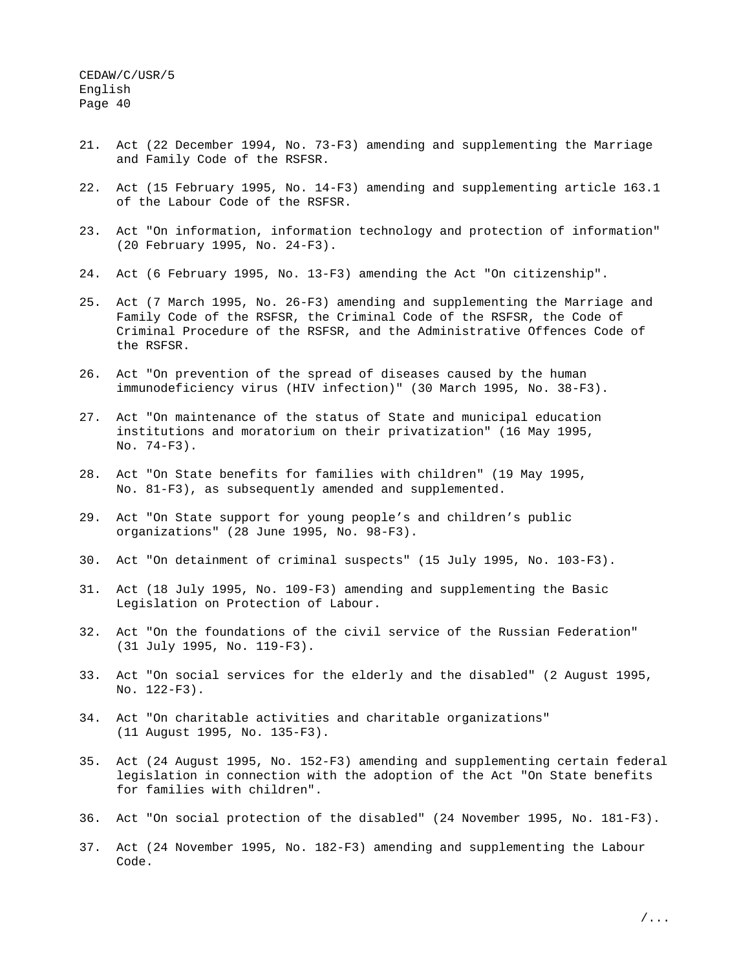- 21. Act (22 December 1994, No. 73-F3) amending and supplementing the Marriage and Family Code of the RSFSR.
- 22. Act (15 February 1995, No. 14-F3) amending and supplementing article 163.1 of the Labour Code of the RSFSR.
- 23. Act "On information, information technology and protection of information" (20 February 1995, No. 24-F3).
- 24. Act (6 February 1995, No. 13-F3) amending the Act "On citizenship".
- 25. Act (7 March 1995, No. 26-F3) amending and supplementing the Marriage and Family Code of the RSFSR, the Criminal Code of the RSFSR, the Code of Criminal Procedure of the RSFSR, and the Administrative Offences Code of the RSFSR.
- 26. Act "On prevention of the spread of diseases caused by the human immunodeficiency virus (HIV infection)" (30 March 1995, No. 38-F3).
- 27. Act "On maintenance of the status of State and municipal education institutions and moratorium on their privatization" (16 May 1995, No. 74-F3).
- 28. Act "On State benefits for families with children" (19 May 1995, No. 81-F3), as subsequently amended and supplemented.
- 29. Act "On State support for young people's and children's public organizations" (28 June 1995, No. 98-F3).
- 30. Act "On detainment of criminal suspects" (15 July 1995, No. 103-F3).
- 31. Act (18 July 1995, No. 109-F3) amending and supplementing the Basic Legislation on Protection of Labour.
- 32. Act "On the foundations of the civil service of the Russian Federation" (31 July 1995, No. 119-F3).
- 33. Act "On social services for the elderly and the disabled" (2 August 1995, No. 122-F3).
- 34. Act "On charitable activities and charitable organizations" (11 August 1995, No. 135-F3).
- 35. Act (24 August 1995, No. 152-F3) amending and supplementing certain federal legislation in connection with the adoption of the Act "On State benefits for families with children".
- 36. Act "On social protection of the disabled" (24 November 1995, No. 181-F3).
- 37. Act (24 November 1995, No. 182-F3) amending and supplementing the Labour Code.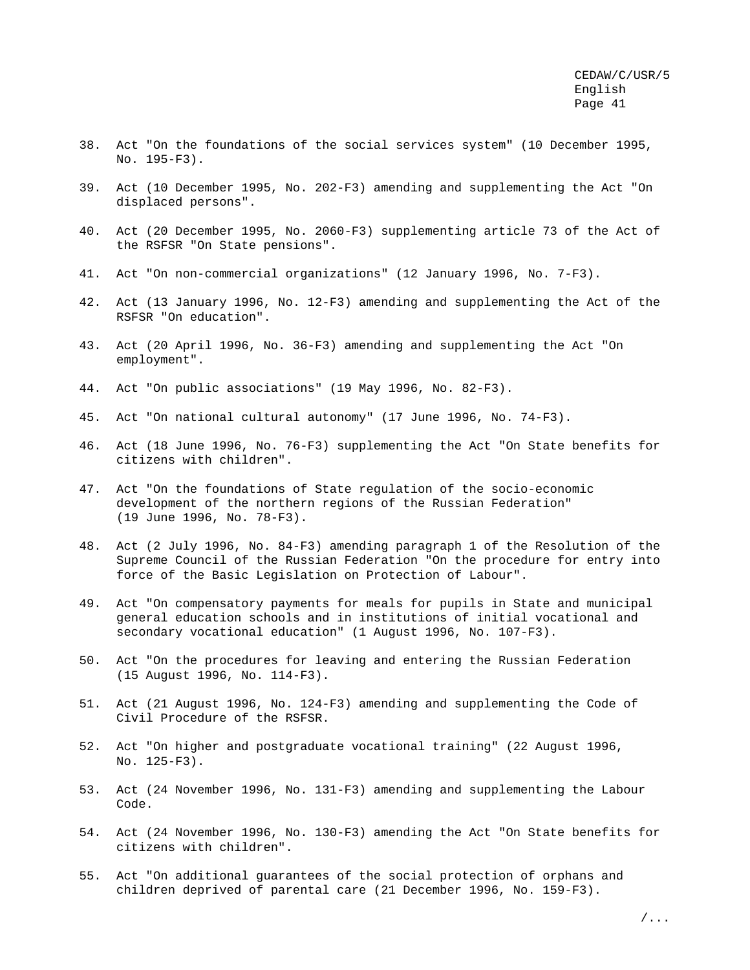- 38. Act "On the foundations of the social services system" (10 December 1995, No. 195-F3).
- 39. Act (10 December 1995, No. 202-F3) amending and supplementing the Act "On displaced persons".
- 40. Act (20 December 1995, No. 2060-F3) supplementing article 73 of the Act of the RSFSR "On State pensions".
- 41. Act "On non-commercial organizations" (12 January 1996, No. 7-F3).
- 42. Act (13 January 1996, No. 12-F3) amending and supplementing the Act of the RSFSR "On education".
- 43. Act (20 April 1996, No. 36-F3) amending and supplementing the Act "On employment".
- 44. Act "On public associations" (19 May 1996, No. 82-F3).
- 45. Act "On national cultural autonomy" (17 June 1996, No. 74-F3).
- 46. Act (18 June 1996, No. 76-F3) supplementing the Act "On State benefits for citizens with children".
- 47. Act "On the foundations of State regulation of the socio-economic development of the northern regions of the Russian Federation" (19 June 1996, No. 78-F3).
- 48. Act (2 July 1996, No. 84-F3) amending paragraph 1 of the Resolution of the Supreme Council of the Russian Federation "On the procedure for entry into force of the Basic Legislation on Protection of Labour".
- 49. Act "On compensatory payments for meals for pupils in State and municipal general education schools and in institutions of initial vocational and secondary vocational education" (1 August 1996, No. 107-F3).
- 50. Act "On the procedures for leaving and entering the Russian Federation (15 August 1996, No. 114-F3).
- 51. Act (21 August 1996, No. 124-F3) amending and supplementing the Code of Civil Procedure of the RSFSR.
- 52. Act "On higher and postgraduate vocational training" (22 August 1996, No. 125-F3).
- 53. Act (24 November 1996, No. 131-F3) amending and supplementing the Labour Code.
- 54. Act (24 November 1996, No. 130-F3) amending the Act "On State benefits for citizens with children".
- 55. Act "On additional guarantees of the social protection of orphans and children deprived of parental care (21 December 1996, No. 159-F3).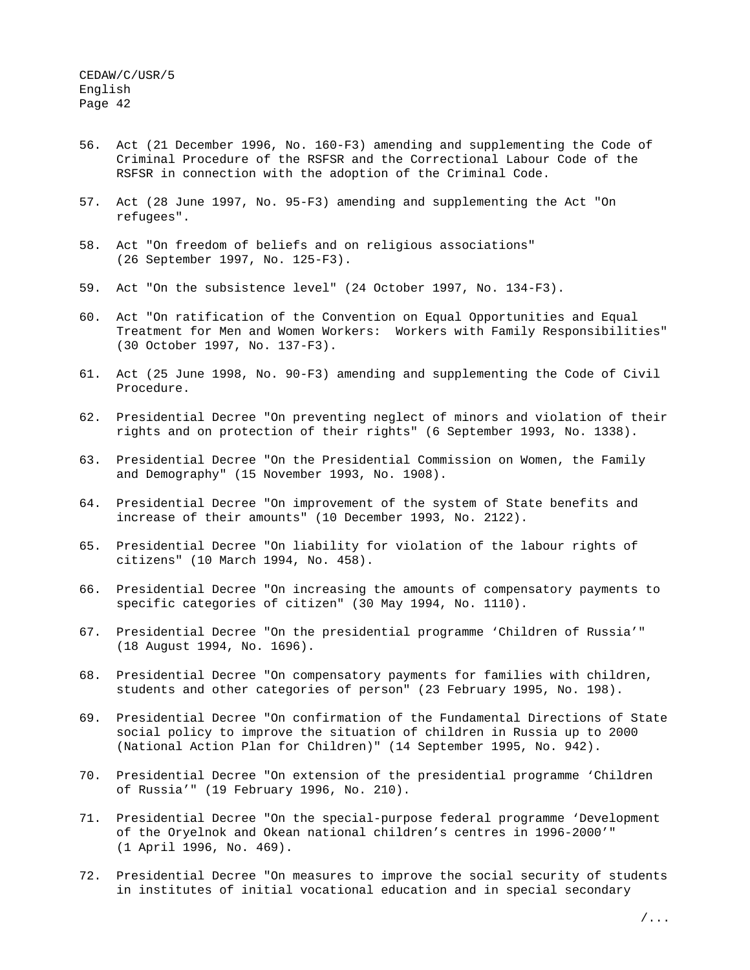- 56. Act (21 December 1996, No. 160-F3) amending and supplementing the Code of Criminal Procedure of the RSFSR and the Correctional Labour Code of the RSFSR in connection with the adoption of the Criminal Code.
- 57. Act (28 June 1997, No. 95-F3) amending and supplementing the Act "On refugees".
- 58. Act "On freedom of beliefs and on religious associations" (26 September 1997, No. 125-F3).
- 59. Act "On the subsistence level" (24 October 1997, No. 134-F3).
- 60. Act "On ratification of the Convention on Equal Opportunities and Equal Treatment for Men and Women Workers: Workers with Family Responsibilities" (30 October 1997, No. 137-F3).
- 61. Act (25 June 1998, No. 90-F3) amending and supplementing the Code of Civil Procedure.
- 62. Presidential Decree "On preventing neglect of minors and violation of their rights and on protection of their rights" (6 September 1993, No. 1338).
- 63. Presidential Decree "On the Presidential Commission on Women, the Family and Demography" (15 November 1993, No. 1908).
- 64. Presidential Decree "On improvement of the system of State benefits and increase of their amounts" (10 December 1993, No. 2122).
- 65. Presidential Decree "On liability for violation of the labour rights of citizens" (10 March 1994, No. 458).
- 66. Presidential Decree "On increasing the amounts of compensatory payments to specific categories of citizen" (30 May 1994, No. 1110).
- 67. Presidential Decree "On the presidential programme 'Children of Russia'" (18 August 1994, No. 1696).
- 68. Presidential Decree "On compensatory payments for families with children, students and other categories of person" (23 February 1995, No. 198).
- 69. Presidential Decree "On confirmation of the Fundamental Directions of State social policy to improve the situation of children in Russia up to 2000 (National Action Plan for Children)" (14 September 1995, No. 942).
- 70. Presidential Decree "On extension of the presidential programme 'Children of Russia'" (19 February 1996, No. 210).
- 71. Presidential Decree "On the special-purpose federal programme 'Development of the Oryelnok and Okean national children's centres in 1996-2000'" (1 April 1996, No. 469).
- 72. Presidential Decree "On measures to improve the social security of students in institutes of initial vocational education and in special secondary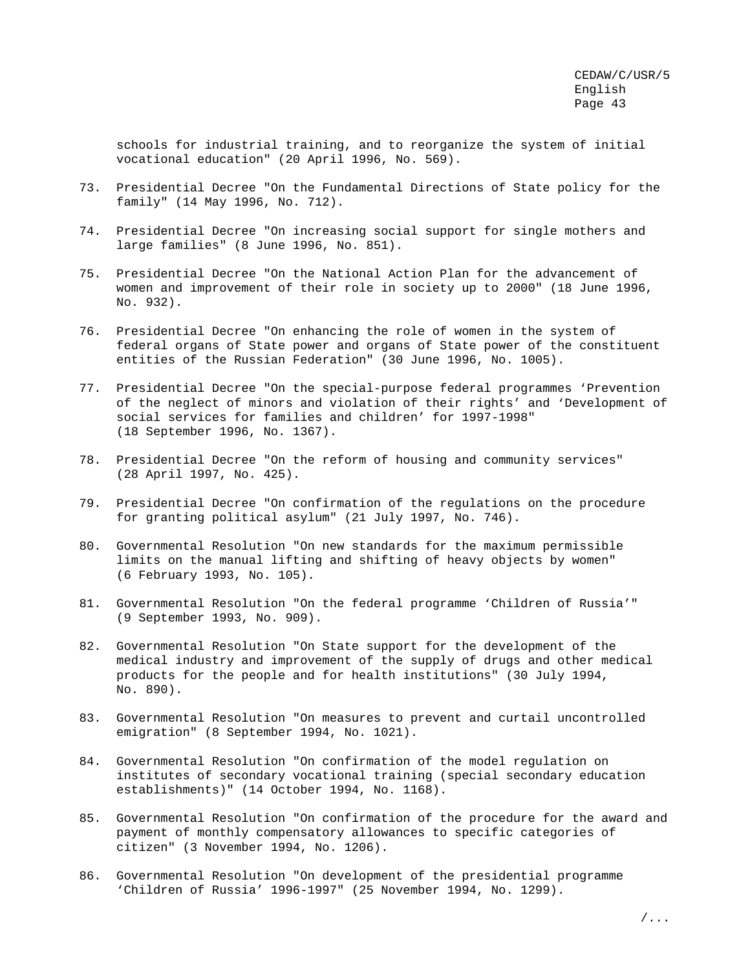schools for industrial training, and to reorganize the system of initial vocational education" (20 April 1996, No. 569).

- 73. Presidential Decree "On the Fundamental Directions of State policy for the family" (14 May 1996, No. 712).
- 74. Presidential Decree "On increasing social support for single mothers and large families" (8 June 1996, No. 851).
- 75. Presidential Decree "On the National Action Plan for the advancement of women and improvement of their role in society up to 2000" (18 June 1996, No. 932).
- 76. Presidential Decree "On enhancing the role of women in the system of federal organs of State power and organs of State power of the constituent entities of the Russian Federation" (30 June 1996, No. 1005).
- 77. Presidential Decree "On the special-purpose federal programmes 'Prevention of the neglect of minors and violation of their rights' and 'Development of social services for families and children' for 1997-1998" (18 September 1996, No. 1367).
- 78. Presidential Decree "On the reform of housing and community services" (28 April 1997, No. 425).
- 79. Presidential Decree "On confirmation of the regulations on the procedure for granting political asylum" (21 July 1997, No. 746).
- 80. Governmental Resolution "On new standards for the maximum permissible limits on the manual lifting and shifting of heavy objects by women" (6 February 1993, No. 105).
- 81. Governmental Resolution "On the federal programme 'Children of Russia'" (9 September 1993, No. 909).
- 82. Governmental Resolution "On State support for the development of the medical industry and improvement of the supply of drugs and other medical products for the people and for health institutions" (30 July 1994, No. 890).
- 83. Governmental Resolution "On measures to prevent and curtail uncontrolled emigration" (8 September 1994, No. 1021).
- 84. Governmental Resolution "On confirmation of the model regulation on institutes of secondary vocational training (special secondary education establishments)" (14 October 1994, No. 1168).
- 85. Governmental Resolution "On confirmation of the procedure for the award and payment of monthly compensatory allowances to specific categories of citizen" (3 November 1994, No. 1206).
- 86. Governmental Resolution "On development of the presidential programme 'Children of Russia' 1996-1997" (25 November 1994, No. 1299).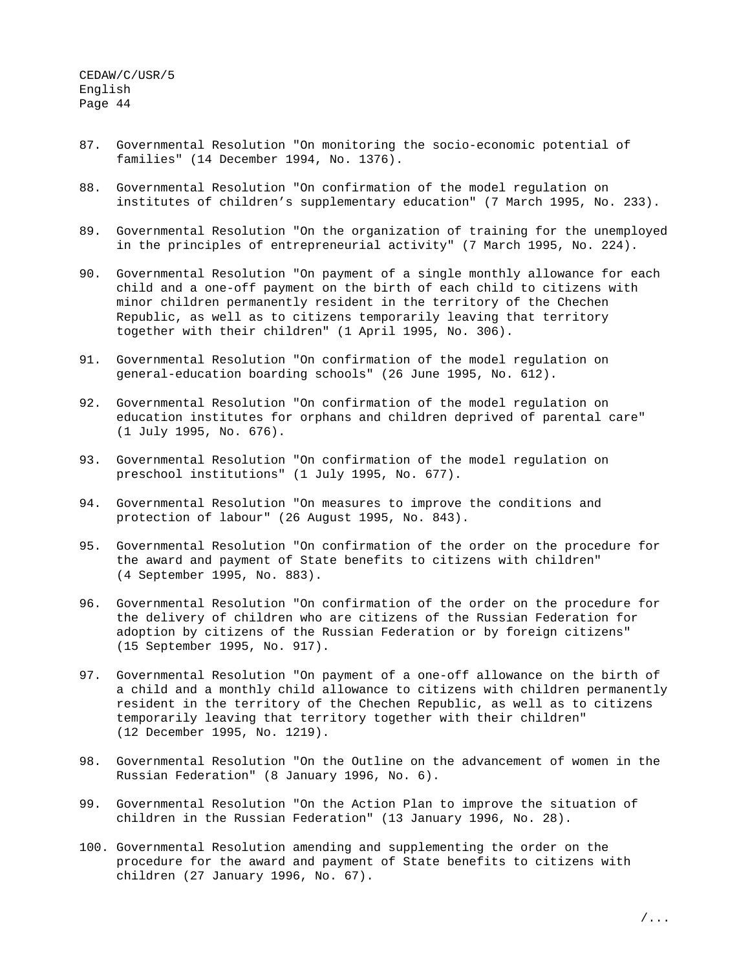- 87. Governmental Resolution "On monitoring the socio-economic potential of families" (14 December 1994, No. 1376).
- 88. Governmental Resolution "On confirmation of the model regulation on institutes of children's supplementary education" (7 March 1995, No. 233).
- 89. Governmental Resolution "On the organization of training for the unemployed in the principles of entrepreneurial activity" (7 March 1995, No. 224).
- 90. Governmental Resolution "On payment of a single monthly allowance for each child and a one-off payment on the birth of each child to citizens with minor children permanently resident in the territory of the Chechen Republic, as well as to citizens temporarily leaving that territory together with their children" (1 April 1995, No. 306).
- 91. Governmental Resolution "On confirmation of the model regulation on general-education boarding schools" (26 June 1995, No. 612).
- 92. Governmental Resolution "On confirmation of the model regulation on education institutes for orphans and children deprived of parental care" (1 July 1995, No. 676).
- 93. Governmental Resolution "On confirmation of the model regulation on preschool institutions" (1 July 1995, No. 677).
- 94. Governmental Resolution "On measures to improve the conditions and protection of labour" (26 August 1995, No. 843).
- 95. Governmental Resolution "On confirmation of the order on the procedure for the award and payment of State benefits to citizens with children" (4 September 1995, No. 883).
- 96. Governmental Resolution "On confirmation of the order on the procedure for the delivery of children who are citizens of the Russian Federation for adoption by citizens of the Russian Federation or by foreign citizens" (15 September 1995, No. 917).
- 97. Governmental Resolution "On payment of a one-off allowance on the birth of a child and a monthly child allowance to citizens with children permanently resident in the territory of the Chechen Republic, as well as to citizens temporarily leaving that territory together with their children" (12 December 1995, No. 1219).
- 98. Governmental Resolution "On the Outline on the advancement of women in the Russian Federation" (8 January 1996, No. 6).
- 99. Governmental Resolution "On the Action Plan to improve the situation of children in the Russian Federation" (13 January 1996, No. 28).
- 100. Governmental Resolution amending and supplementing the order on the procedure for the award and payment of State benefits to citizens with children (27 January 1996, No. 67).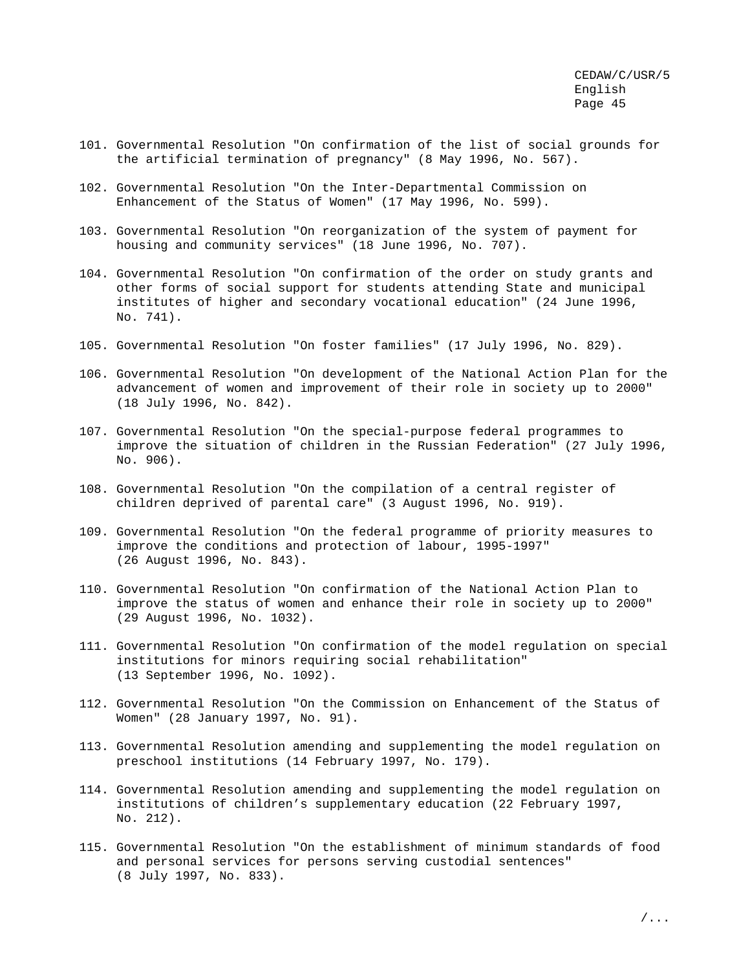- 101. Governmental Resolution "On confirmation of the list of social grounds for the artificial termination of pregnancy" (8 May 1996, No. 567).
- 102. Governmental Resolution "On the Inter-Departmental Commission on Enhancement of the Status of Women" (17 May 1996, No. 599).
- 103. Governmental Resolution "On reorganization of the system of payment for housing and community services" (18 June 1996, No. 707).
- 104. Governmental Resolution "On confirmation of the order on study grants and other forms of social support for students attending State and municipal institutes of higher and secondary vocational education" (24 June 1996, No. 741).
- 105. Governmental Resolution "On foster families" (17 July 1996, No. 829).
- 106. Governmental Resolution "On development of the National Action Plan for the advancement of women and improvement of their role in society up to 2000" (18 July 1996, No. 842).
- 107. Governmental Resolution "On the special-purpose federal programmes to improve the situation of children in the Russian Federation" (27 July 1996, No. 906).
- 108. Governmental Resolution "On the compilation of a central register of children deprived of parental care" (3 August 1996, No. 919).
- 109. Governmental Resolution "On the federal programme of priority measures to improve the conditions and protection of labour, 1995-1997" (26 August 1996, No. 843).
- 110. Governmental Resolution "On confirmation of the National Action Plan to improve the status of women and enhance their role in society up to 2000" (29 August 1996, No. 1032).
- 111. Governmental Resolution "On confirmation of the model regulation on special institutions for minors requiring social rehabilitation" (13 September 1996, No. 1092).
- 112. Governmental Resolution "On the Commission on Enhancement of the Status of Women" (28 January 1997, No. 91).
- 113. Governmental Resolution amending and supplementing the model regulation on preschool institutions (14 February 1997, No. 179).
- 114. Governmental Resolution amending and supplementing the model regulation on institutions of children's supplementary education (22 February 1997, No. 212).
- 115. Governmental Resolution "On the establishment of minimum standards of food and personal services for persons serving custodial sentences" (8 July 1997, No. 833).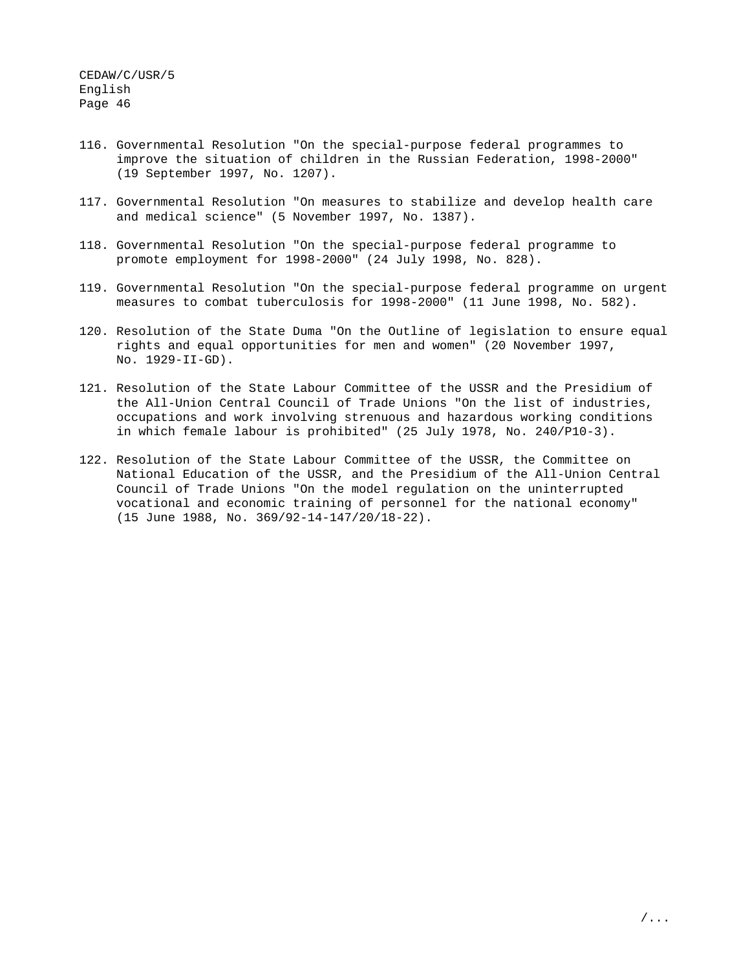- 116. Governmental Resolution "On the special-purpose federal programmes to improve the situation of children in the Russian Federation, 1998-2000" (19 September 1997, No. 1207).
- 117. Governmental Resolution "On measures to stabilize and develop health care and medical science" (5 November 1997, No. 1387).
- 118. Governmental Resolution "On the special-purpose federal programme to promote employment for 1998-2000" (24 July 1998, No. 828).
- 119. Governmental Resolution "On the special-purpose federal programme on urgent measures to combat tuberculosis for 1998-2000" (11 June 1998, No. 582).
- 120. Resolution of the State Duma "On the Outline of legislation to ensure equal rights and equal opportunities for men and women" (20 November 1997, No. 1929-II-GD).
- 121. Resolution of the State Labour Committee of the USSR and the Presidium of the All-Union Central Council of Trade Unions "On the list of industries, occupations and work involving strenuous and hazardous working conditions in which female labour is prohibited" (25 July 1978, No. 240/P10-3).
- 122. Resolution of the State Labour Committee of the USSR, the Committee on National Education of the USSR, and the Presidium of the All-Union Central Council of Trade Unions "On the model regulation on the uninterrupted vocational and economic training of personnel for the national economy" (15 June 1988, No. 369/92-14-147/20/18-22).